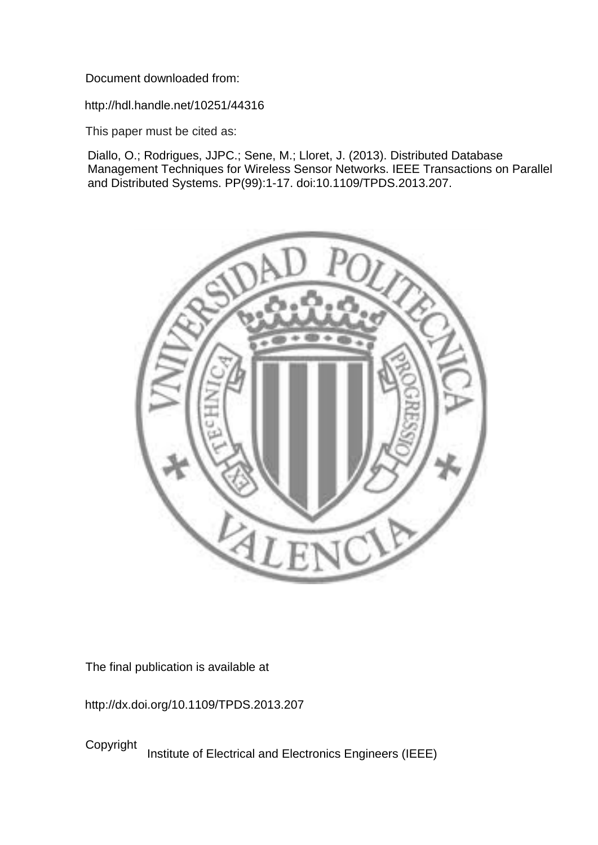Document downloaded from:

http://hdl.handle.net/10251/44316

This paper must be cited as:

Diallo, O.; Rodrigues, JJPC.; Sene, M.; Lloret, J. (2013). Distributed Database Management Techniques for Wireless Sensor Networks. IEEE Transactions on Parallel and Distributed Systems. PP(99):1-17. doi:10.1109/TPDS.2013.207.



The final publication is available at

http://dx.doi.org/10.1109/TPDS.2013.207

Copyright Institute of Electrical and Electronics Engineers (IEEE)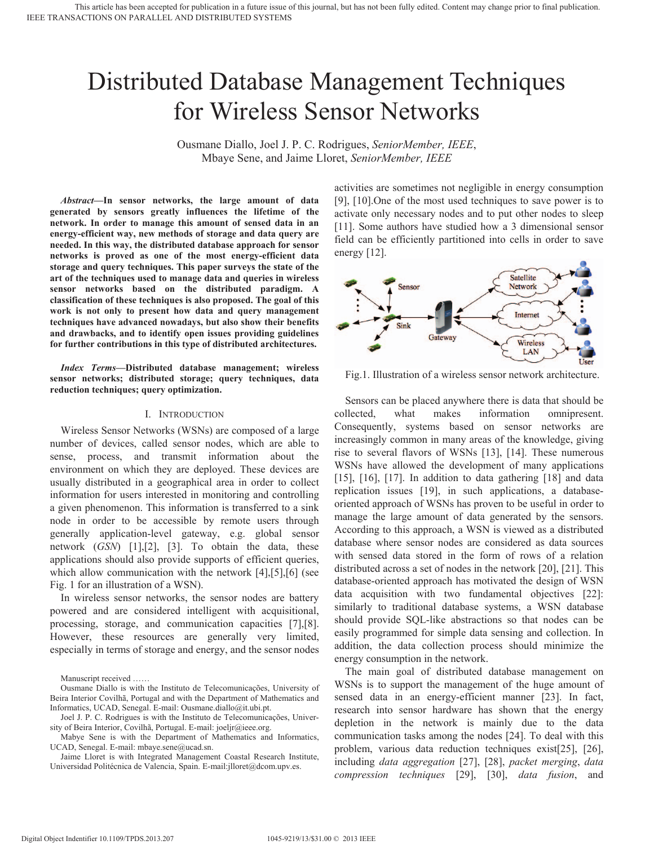# Distributed Database Management Techniques for Wireless Sensor Networks

Ousmane Diallo, Joel J. P. C. Rodrigues, *SeniorMember, IEEE*, Mbaye Sene, and Jaime Lloret, *SeniorMember, IEEE*

*Abstract***—In sensor networks, the large amount of data generated by sensors greatly influences the lifetime of the network. In order to manage this amount of sensed data in an energy-efficient way, new methods of storage and data query are needed. In this way, the distributed database approach for sensor networks is proved as one of the most energy-efficient data storage and query techniques. This paper surveys the state of the art of the techniques used to manage data and queries in wireless sensor networks based on the distributed paradigm. A classification of these techniques is also proposed. The goal of this work is not only to present how data and query management techniques have advanced nowadays, but also show their benefits and drawbacks, and to identify open issues providing guidelines for further contributions in this type of distributed architectures.** 

sensor networks; distributed storage; query techniques, data **re duction techniques; query optimization.**  *Index Terms***—Distributed database management; wireless** 

#### I. INTRODUCTION

Wireless Sensor Networks (WSNs) are composed of a large nu mber of devices, called sensor nodes, which are able to sense, process, and transmit information about the environment on which they are deployed. These devices are usually distributed in a geographical area in order to collect information for users interested in monitoring and controlling a given phenomenon. This information is transferred to a sink node in order to be accessible by remote users through generally application-level gateway, e.g. global sensor network (*GSN*) [1],[2], [3]. To obtain the data, these applications should also provide supports of efficient queries, which allow communication with the network [4],[5],[6] (see Fig. 1 for an illustration of a WSN).

In wireless sensor networks, the sensor nodes are battery powered and are considered intelligent with acquisitional, processing, storage, and communication capacities [7],[8]. However, these resources are generally very limited, especially in terms of storage and energy, and the sensor nodes

Manuscript received ……

Joel J. P. C. Rodrigues is with the Instituto de Telecomunicações, University of Beira Interior, Covilhã, Portugal. E-mail: joeljr@ieee.org.

Mabye Sene is with the Department of Mathematics and Informatics, UCAD, Senegal. E-mail: mbaye.sene@ucad.sn.

Jaime Lloret is with Integrated Management Coastal Research Institute, Universidad Politécnica de Valencia, Spain. E-mail:jlloret@dcom.upv.es.

activities are sometimes not negligible in energy consumption [9], [10].One of the most used techniques to save power is to activate only necessary nodes and to put other nodes to sleep [11]. Some authors have studied how a 3 dimensional sensor field can be efficiently partitioned into cells in order to save energy [12].



Fig.1. Illustration of a wireless sensor network architecture.

Sensors can be placed anywhere there is data that should be collected. Co nsequently, systems based on sensor networks are in creasingly common in many areas of the knowledge, giving what makes information omnipresent. rise to several flavors of WSNs [13], [14]. These numerous WSNs have allowed the development of many applications [15], [16], [17]. In addition to data gathering [18] and data replication issues [19], in such applications, a databaseoriented approach of WSNs has proven to be useful in order to manage the large amount of data generated by the sensors. According to this approach, a WSN is viewed as a distributed database where sensor nodes are considered as data sources with sensed data stored in the form of rows of a relation distributed across a set of nodes in the network [20], [21]. This database-oriented approach has motivated the design of WSN data acquisition with two fundamental objectives [22]: similarly to traditional database systems, a WSN database should provide SQL-like abstractions so that nodes can be easily programmed for simple data sensing and collection. In addition, the data collection process should minimize the energy consumption in the network.

The main goal of distributed database management on WSNs is to support the management of the huge amount of sensed data in an energy-efficient manner [23]. In fact, research into sensor hardware has shown that the energy depletion in the network is mainly due to the data communication tasks among the nodes [24]. To deal with this problem, various data reduction techniques exist[25], [26], including *data aggregation* [27], [28], *packet merging*, *data compression techniques* [29], [30], *data fusion*, and

Ousmane Diallo is with the Instituto de Telecomunicações, University of Beira Interior Covilhã, Portugal and with the Department of Mathematics and Informatics, UCAD, Senegal. E-mail: Ousmane.diallo@it.ubi.pt.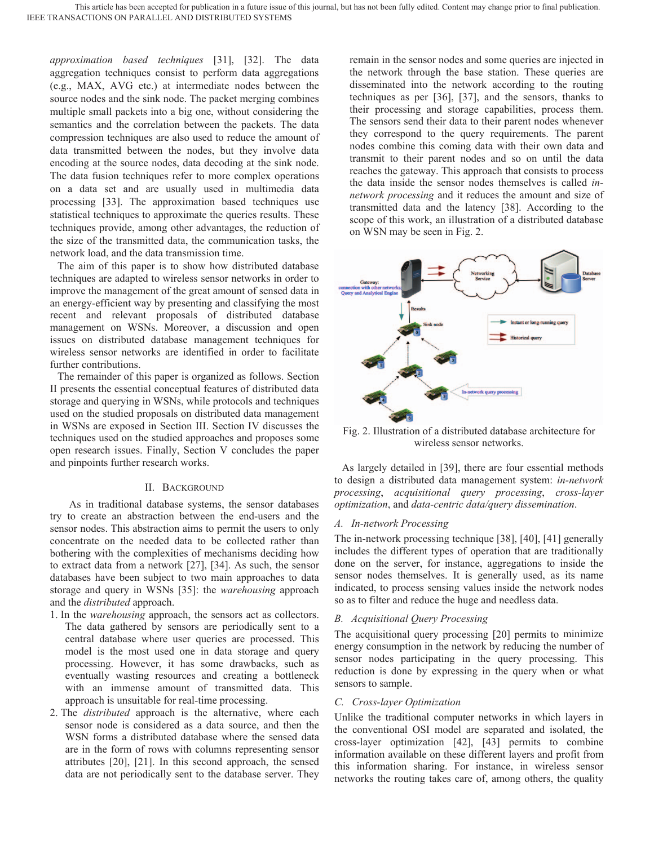*approximation based techniques* [31], [32]. The data aggregation techniques consist to perform data aggregations (e.g., MAX, AVG etc.) at intermediate nodes between the source nodes and the sink node. The packet merging combines multiple small packets into a big one, without considering the semantics and the correlation between the packets. The data compression techniques are also used to reduce the amount of data transmitted between the nodes, but they involve data encoding at the source nodes, data decoding at the sink node. The data fusion techniques refer to more complex operations on a data set and are usually used in multimedia data processing [33]. The approximation based techniques use statistical techniques to approximate the queries results. These techniques provide, among other advantages, the reduction of the size of the transmitted data, the communication tasks, the network load, and the data transmission time.

 The aim of this paper is to show how distributed database techniques are adapted to wireless sensor networks in order to improve the management of the great amount of sensed data in an energy-efficient way by presenting and classifying the most recent and relevant proposals of distributed database management on WSNs. Moreover, a discussion and open issues on distributed database management techniques for wireless sensor networks are identified in order to facilitate further contributions.

storage and querying in WSNs, while protocols and techniques The remainder of this paper is organized as follows. Section II presents the essential conceptual features of distributed data used on the studied proposals on distributed data management in WSNs are exposed in Section III. Section IV discusses the techniques used on the studied approaches and proposes some open research issues. Finally, Section V concludes the paper and pinpoints further research works.

## II. BACKGROUND

As in traditional database systems, the sensor databases try to create an abstraction between the end-users and the sensor nodes. This abstraction aims to permit the users to only con centrate on the needed data to be collected rather than bothering with the complexities of mechanisms deciding how to extract data from a network [27], [34]. As such, the sensor databases have been subject to two main approaches to data storage and query in WSNs [35]: the *warehousing* approach and the *distributed* approach.

- central database where user queries are processed. This 1. In the *warehousing* approach, the sensors act as collectors. The data gathered by sensors are periodically sent to a model is the most used one in data storage and query processing. However, it has some drawbacks, such as eventually wasting resources and creating a bottleneck with an immense amount of transmitted data. This approach is unsuitable for real-time processing.
- WSN forms a distributed database where the sensed data 2. The *distributed* approach is the alternative, where each sensor node is considered as a data source, and then the are in the form of rows with columns representing sensor attributes [20], [21]. In this second approach, the sensed data are not periodically sent to the database server. They

remain in the sensor nodes and some queries are injected in the network through the base station. These queries are disseminated into the network according to the routing techniques as per [36], [37], and the sensors, thanks to their processing and storage capabilities, process them. The sensors send their data to their parent nodes whenever they correspond to the query requirements. The parent nodes combine this coming data with their own data and transmit to their parent nodes and so on until the data reaches the gateway. This approach that consists to process the data inside the sensor nodes themselves is called *innetwork processing* and it reduces the amount and size of transmitted data and the latency [38]. According to the scope of this work, an illustration of a distributed database on WSN may be seen in Fig. 2.



Fig. 2. Illustration of a distributed database architecture for wireless sensor networks.

As largely detailed in [39], there are four essential methods to design a distributed data management system: *in-network rocessing*, *acquisitional query processing*, *cross-layer p optimization*, and *data-centric data/query dissemination*.

## *A. In-network Processing*

includes the different types of operation that are traditionally done on the server, for instance, aggregations to inside the The in-network processing technique [38], [40], [41] generally sensor nodes themselves. It is generally used, as its name indicated, to process sensing values inside the network nodes so as to filter and reduce the huge and needless data.

## *B. Acquisitional Query Processing*

The acquisitional query processing [20] permits to minimize energy consumption in the network by reducing the number of sensor nodes participating in the query processing. This reduction is done by expressing in the query when or what sensors to sample.

## *C. Cross-layer Optimization*

Unlike the traditional computer networks in which layers in the conventional OSI model are separated and isolated, the cross-layer optimization  $[42]$ ,  $[43]$  permits to combine information available on these different layers and profit from this information sharing. For instance, in wireless sensor networks the routing takes care of, among others, the quality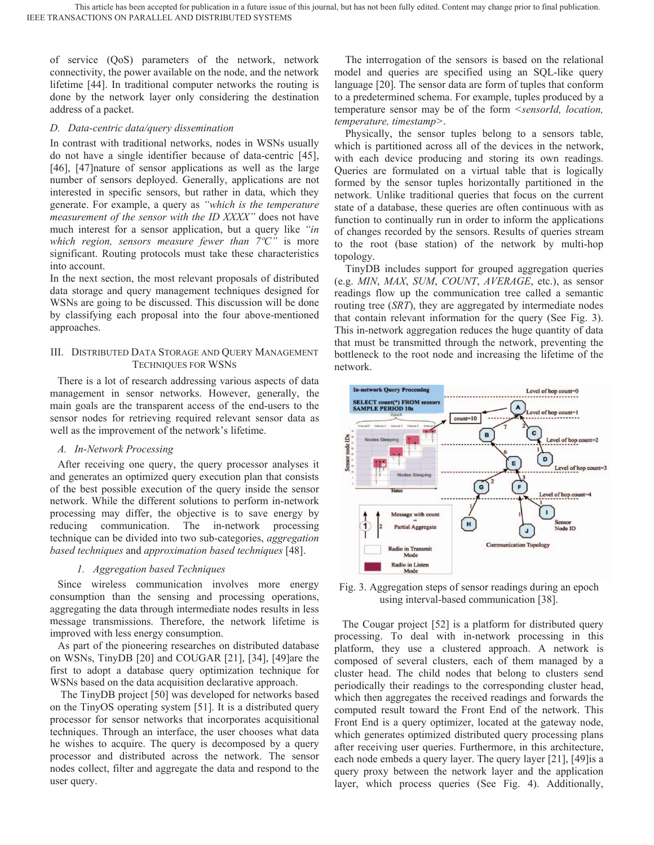of service (QoS) parameters of the network, network connectivity, the power available on the node, and the network lifetime [44]. In traditional computer networks the routing is done by the network layer only considering the destination address of a packet.

### *D. Data-centric data/query dissemination*

In contrast with traditional networks, nodes in WSNs usually do not have a single identifier because of data-centric [45],  $[46]$ ,  $[47]$ nature of sensor applications as well as the large number of sensors deployed. Generally, applications are not interested in specific sensors, but rather in data, which they generate. For example, a query as *"which is the temperature measurement of the sensor with the ID XXXX"* does not have much interest for a sensor application, but a query like *"in which region, sensors measure fewer than 7ºC"* is more significant. Routing protocols must take these characteristics into account.

WSNs are going to be discussed. This discussion will be done In the next section, the most relevant proposals of distributed data storage and query management techniques designed for by classifying each proposal into the four above-mentioned approaches.

## TECHNIQUES FOR WSNS III. DISTRIBUTED DATA STORAGE AND QUERY MANAGEMENT

There is a lot of research addressing various aspects of data main goals are the transparent access of the end-users to the se nsor nodes for retrieving required relevant sensor data as management in sensor networks. However, generally, the well as the improvement of the network's lifetime.

## *A. In-Network Processing*

After receiving one query, the query processor analyses it and generates an optimized query execution plan that consists of the best possible execution of the query inside the sensor n etwork. While the different solutions to perform in-network processing may differ, the objective is to save energy by reducing communication. The in-network processing technique can be divided into two sub-categories, *aggregation based techniques* and *approximation based techniques* [48].

#### *1. Aggregation based Techniques*

consumption than the sensing and processing operations, aggregating the data through intermediate nodes results in less m essage transmissions. Therefore, the network lifetime is Since wireless communication involves more energy improved with less energy consumption.

first to adopt a database query optimization technique for W SNs based on the data acquisition declarative approach. As part of the pioneering researches on distributed database on WSNs, TinyDB [20] and COUGAR [21], [34], [49]are the

processor for sensor networks that incorporates acquisitional te chniques. Through an interface, the user chooses what data The TinyDB project [50] was developed for networks based on the TinyOS operating system [51]. It is a distributed query he wishes to acquire. The query is decomposed by a query processor and distributed across the network. The sensor nodes collect, filter and aggregate the data and respond to the user query.

language [20]. The sensor data are form of tuples that conform to a predetermined schema. For example, tuples produced by a The interrogation of the sensors is based on the relational model and queries are specified using an SQL-like query temperature sensor may be of the form *<sensorId, location, temperature, timestamp>*.

with each device producing and storing its own readings. Q ueries are formulated on a virtual table that is logically Physically, the sensor tuples belong to a sensors table, which is partitioned across all of the devices in the network, formed by the sensor tuples horizontally partitioned in the network. Unlike traditional queries that focus on the current state of a database, these queries are often continuous with as function to continually run in order to inform the applications of changes recorded by the sensors. Results of queries stream to the root (base station) of the network by multi-hop topology.

readings flow up the communication tree called a semantic ro uting tree (*SRT*), they are aggregated by intermediate nodes TinyDB includes support for grouped aggregation queries (e.g. *MIN*, *MAX*, *SUM*, *COUNT*, *AVERAGE*, etc.), as sensor that contain relevant information for the query (See Fig. 3). This in-network aggregation reduces the huge quantity of data that must be transmitted through the network, preventing the bottleneck to the root node and increasing the lifetime of the network.



Fig. 3. Aggregation steps of sensor readings during an epoch using interval-based communication [38].

processing. To deal with in-network processing in this platform, they use a clustered approach. A network is c omposed of several clusters, each of them managed by a The Cougar project [52] is a platform for distributed query cluster head. The child nodes that belong to clusters send periodically their readings to the corresponding cluster head, which then aggregates the received readings and forwards the computed result toward the Front End of the network. This Front End is a query optimizer, located at the gateway node, which generates optimized distributed query processing plans after receiving user queries. Furthermore, in this architecture, each node embeds a query layer. The query layer [21], [49]is a query proxy between the network layer and the application layer, which process queries (See Fig. 4). Additionally,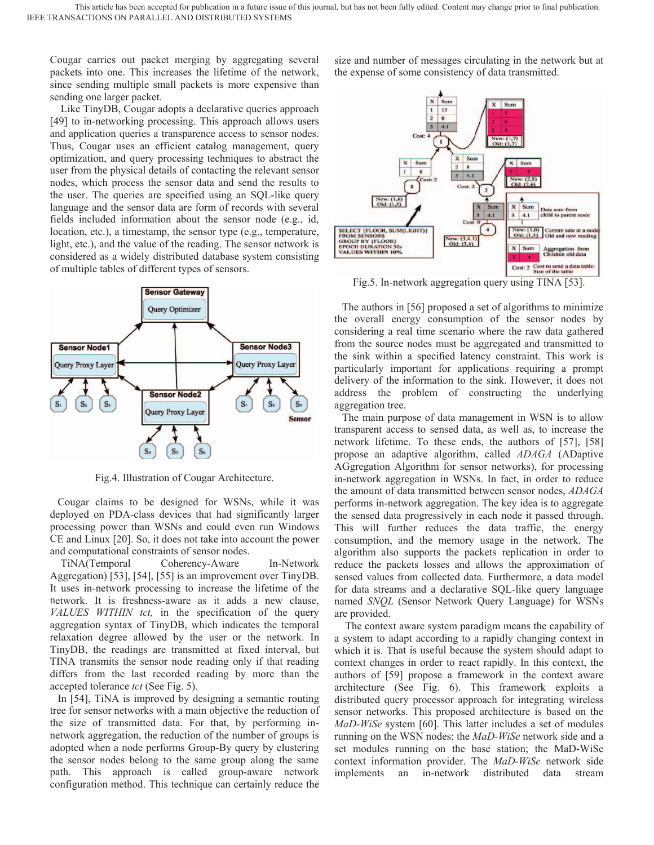Cougar carries out packet merging by aggregating several packets into one. This increases the lifetime of the network, since sending multiple small packets is more expensive than sending one larger packet.

Like TinyDB, Cougar adopts a declarative queries approach [49] to in-networking processing. This approach allows users and application queries a transparence access to sensor nodes. Thus, Cougar uses an efficient catalog management, query optimization, and query processing techniques to abstract the user from the physical details of contacting the relevant sensor nodes, which process the sensor data and send the results to the user. The queries are specified using an SQL-like query language and the sensor data are form of records with several fields included information about the sensor node (e.g., id, location, etc.), a timestamp, the sensor type (e.g., temperature, light, etc.), and the value of the reading. The sensor network is considered as a widely distributed database system consisting of multiple tables of different types of sensors.



Fig.4. Illustration of Cougar Architecture.

Cougar claims to be designed for WSNs, while it was deployed on PDA-class devices that had significantly larger processing power than WSNs and could even run Windows C E and Linux [20]. So, it does not take into account the power and computational constraints of sensor nodes.

It uses in-network processing to increase the lifetime of the n etwork. It is freshness-aware as it adds a new clause, TiNA(Temporal Coherency-Aware In-Network Aggregation) [53], [54], [55] is an improvement over TinyDB. *VALUES WITHIN tct,* in the specification of the query aggregation syntax of TinyDB, which indicates the temporal relaxation degree allowed by the user or the network. In TinyDB, the readings are transmitted at fixed interval, but TINA transmits the sensor node reading only if that reading differs from the last recorded reading by more than the accepted tolerance *tct* (See Fig. 5).

the size of transmitted data. For that, by performing inn etwork aggregation, the reduction of the number of groups is In [54], TiNA is improved by designing a semantic routing tree for sensor networks with a main objective the reduction of adopted when a node performs Group-By query by clustering the sensor nodes belong to the same group along the same path. This approach is called group-aware network configuration method. This technique can certainly reduce the

size and number of messages circulating in the network but at the expense of some consistency of data transmitted.



Fig.5. In-network aggregation query using TINA [53].

The authors in [56] proposed a set of algorithms to minimize the overall energy consumption of the sensor nodes by considering a real time scenario where the raw data gathered fr om the source nodes must be aggregated and transmitted to the sink within a specified latency constraint. This work is particularly important for applications requiring a prompt delivery of the information to the sink. However, it does not address the problem of constructing the underlying aggregation tree.

network lifetime. To these ends, the authors of  $[57]$ ,  $[58]$ p ropose an adaptive algorithm, called *ADAGA* (ADaptive The main purpose of data management in WSN is to allow transparent access to sensed data, as well as, to increase the AGgregation Algorithm for sensor networks), for processing in-network aggregation in WSNs. In fact, in order to reduce the amount of data transmitted between sensor nodes, *ADAGA* performs in-network aggregation. The key idea is to aggregate the sensed data progressively in each node it passed through. This will further reduces the data traffic, the energy consumption, and the memory usage in the network. The algorithm also supports the packets replication in order to reduce the packets losses and allows the approximation of sensed values from collected data. Furthermore, a data model for data streams and a declarative SQL-like query language named *SNQL* (Sensor Network Query Language) for WSNs are provided.

which it is. That is useful because the system should adapt to c ontext changes in order to react rapidly. In this context, the The context aware system paradigm means the capability of a system to adapt according to a rapidly changing context in authors of [59] propose a framework in the context aware architecture (See Fig. 6). This framework exploits a distributed query processor approach for integrating wireless sensor networks. This proposed architecture is based on the *MaD-WiSe* system [60]. This latter includes a set of modules running on the WSN nodes; the *MaD-WiSe* network side and a set modules running on the base station; the MaD-WiSe context information provider. The *MaD-WiSe* network side implements an in-network distributed data stream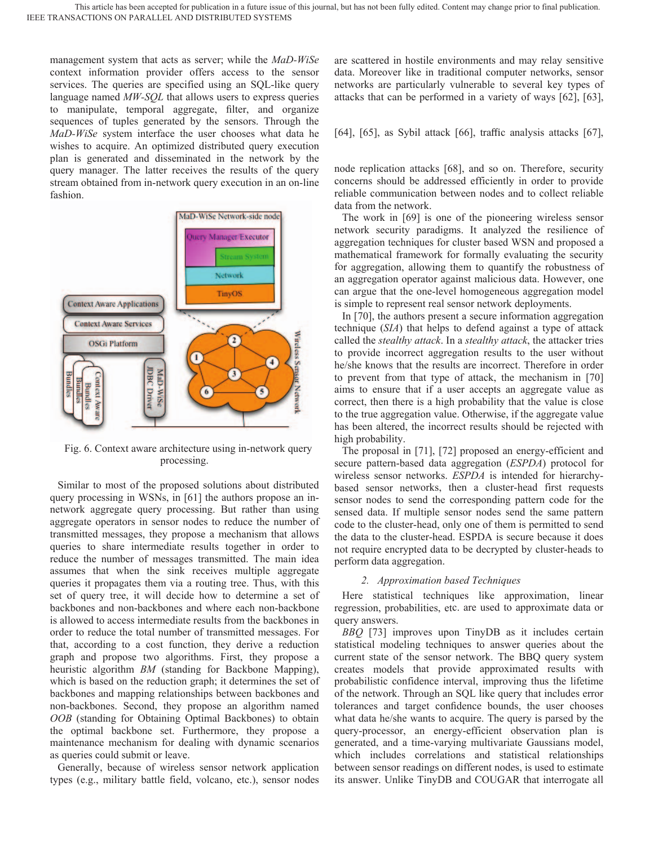management system that acts as server; while the *MaD-WiSe* context information provider offers access to the sensor services. The queries are specified using an SOL-like query language named *MW-SQL* that allows users to express queries to manipulate, temporal aggregate, filter, and organize sequences of tuples generated by the sensors. Through the *MaD-WiSe* system interface the user chooses what data he wishes to acquire. An optimized distributed query execution plan is generated and disseminated in the network by the query manager. The latter receives the results of the query stream obtained from in-network query execution in an on-line fashion.



Fig. 6. Context aware architecture using in-network query processing.

S imilar to most of the proposed solutions about distributed query processing in WSNs, in [61] the authors propose an innetwork aggregate query processing. But rather than using a ggregate operators in sensor nodes to reduce the number of transmitted messages, they propose a mechanism that allows queries to share intermediate results together in order to reduce the number of messages transmitted. The main idea assumes that when the sink receives multiple aggregate queries it propagates them via a routing tree. Thus, with this set of query tree, it will decide how to determine a set of backbones and non-backbones and where each non-backbone is allowed to access intermediate results from the backbones in order to reduce the total number of transmitted messages. For that, according to a cost function, they derive a reduction graph and propose two algorithms. First, they propose a heuristic algorithm *BM* (standing for Backbone Mapping), which is based on the reduction graph; it determines the set of backbones and mapping relationships between backbones and non-backbones. Second, they propose an algorithm named *OOB* (standing for Obtaining Optimal Backbones) to obtain the optimal backbone set. Furthermore, they propose a maintenance mechanism for dealing with dynamic scenarios as queries could submit or leave.

types (e.g., military battle field, volcano, etc.), sensor nodes Generally, because of wireless sensor network application

data. Moreover like in traditional computer networks, sensor n etworks are particularly vulnerable to several key types of are scattered in hostile environments and may relay sensitive attacks that can be performed in a variety of ways [62], [63],

[64], [65], as Sybil attack [66], traffic analysis attacks [67],

node replication attacks [68], and so on. Therefore, security reliable communication between nodes and to collect reliable data from the network. concerns should be addressed efficiently in order to provide

mathematical framework for formally evaluating the security fo r aggregation, allowing them to quantify the robustness of The work in [69] is one of the pioneering wireless sensor network security paradigms. It analyzed the resilience of aggregation techniques for cluster based WSN and proposed a an aggregation operator against malicious data. However, one can argue that the one-level homogeneous aggregation model is simple to represent real sensor network deployments.

to provide incorrect aggregation results to the user without h e/she knows that the results are incorrect. Therefore in order In [70], the authors present a secure information aggregation technique (*SIA*) that helps to defend against a type of attack called the *stealthy attack*. In a *stealthy attack*, the attacker tries to prevent from that type of attack, the mechanism in [70] aims to ensure that if a user accepts an aggregate value as correct, then there is a high probability that the value is close to the true aggregation value. Otherwise, if the aggregate value has been altered, the incorrect results should be rejected with high probability.

based sensor networks, then a cluster-head first requests s ensor nodes to send the corresponding pattern code for the The proposal in [71], [72] proposed an energy-efficient and secure pattern-based data aggregation (*ESPDA*) protocol for wireless sensor networks. *ESPDA* is intended for hierarchysensed data. If multiple sensor nodes send the same pattern code to the cluster-head, only one of them is permitted to send the data to the cluster-head. ESPDA is secure because it does not require encrypted data to be decrypted by cluster-heads to perform data aggregation.

#### *2. Approximation based Techniques*

regression, probabilities, etc. are used to approximate data or Here statistical techniques like approximation, linear query answers.

BBQ [73] improves upon TinyDB as it includes certain st atistical modeling techniques to answer queries about the creates models that provide approximated results with p robabilistic confidence interval, improving thus the lifetime current state of the sensor network. The BBQ query system of the network. Through an SQL like query that includes error tolerances and target confidence bounds, the user chooses what data he/she wants to acquire. The query is parsed by the query-processor, an energy-efficient observation plan is generated, and a time-varying multivariate Gaussians model, which includes correlations and statistical relationships between sensor readings on different nodes, is used to estimate its answer. Unlike TinyDB and COUGAR that interrogate all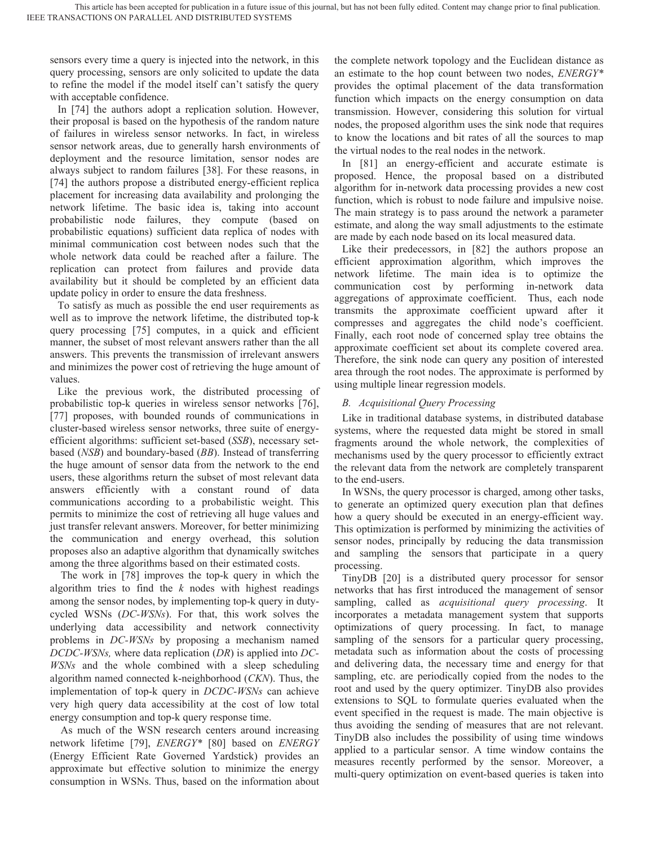sensors every time a query is injected into the network, in this query processing, sensors are only solicited to update the data to refine the model if the model itself can't satisfy the query with acceptable confidence.

In [74] the authors adopt a replication solution. However, their proposal is based on the hypothesis of the random nature of failures in wireless sensor networks. In fact, in wireless sensor network areas, due to generally harsh environments of d eployment and the resource limitation, sensor nodes are always subject to random failures [38]. For these reasons, in [74] the authors propose a distributed energy-efficient replica placement for increasing data availability and prolonging the network lifetime. The basic idea is, taking into account probabilistic node failures, they compute (based on probabilistic equations) sufficient data replica of nodes with minimal communication cost between nodes such that the whole network data could be reached after a failure. The replication can protect from failures and provide data availability but it should be completed by an efficient data update policy in order to ensure the data freshness.

manner, the subset of most relevant answers rather than the all a nswers. This prevents the transmission of irrelevant answers To satisfy as much as possible the end user requirements as well as to improve the network lifetime, the distributed top-k query processing [75] computes, in a quick and efficient and minimizes the power cost of retrieving the huge amount of values.

cluster-based wireless sensor networks, three suite of energye fficient algorithms: sufficient set-based (*SSB*), necessary set-Like the previous work, the distributed processing of probabilistic top-k queries in wireless sensor networks [76], [77] proposes, with bounded rounds of communications in based (*NSB*) and boundary-based (*BB*). Instead of transferring the huge amount of sensor data from the network to the end users, these algorithms return the subset of most relevant data answers efficiently with a constant round of data communications according to a probabilistic weight. This permits to minimize the cost of retrieving all huge values and just transfer relevant answers. Moreover, for better minimizing the communication and energy overhead, this solution proposes also an adaptive algorithm that dynamically switches among the three algorithms based on their estimated costs.

cycled WSNs (*DC-WSNs*). For that, this work solves the un derlying data accessibility and network connectivity The work in [78] improves the top-k query in which the algorithm tries to find the *k* nodes with highest readings among the sensor nodes, by implementing top-k query in dutyproblems in *DC-WSNs* by proposing a mechanism named *DCDC-WSNs,* where data replication (*DR*) is applied into *DC-WSNs* and the whole combined with a sleep scheduling algorithm named connected k-neighborhood (*CKN*). Thus, the implementation of top-k query in *DCDC-WSNs* can achieve very high query data accessibility at the cost of low total energy consumption and top-k query response time.

approximate but effective solution to minimize the energy co nsumption in WSNs. Thus, based on the information about As much of the WSN research centers around increasing network lifetime [79], *ENERGY\** [80] based on *ENERGY* (Energy Efficient Rate Governed Yardstick) provides an

the complete network topology and the Euclidean distance as an estimate to the hop count between two nodes, *ENERGY\** provides the optimal placement of the data transformation function which impacts on the energy consumption on data transmission. However, considering this solution for virtual nodes, the proposed algorithm uses the sink node that requires to know the locations and bit rates of all the sources to map the virtual nodes to the real nodes in the network.

function, which is robust to node failure and impulsive noise. T he main strategy is to pass around the network a parameter In [81] an energy-efficient and accurate estimate is proposed. Hence, the proposal based on a distributed algorithm for in-network data processing provides a new cost estimate, and along the way small adjustments to the estimate are made by each node based on its local measured data.

a ggregations of approximate coefficient. Thus, each node Like their predecessors, in [82] the authors propose an efficient approximation algorithm, which improves the network lifetime. The main idea is to optimize the communication cost by performing in-network data transmits the approximate coefficient upward after it compresses and aggregates the child node's coefficient. Finally, each root node of concerned splay tree obtains the approximate coefficient set about its complete covered area. Therefore, the sink node can query any position of interested area through the root nodes. The approximate is performed by using multiple linear regression models.

## *B. Acquisitional Query Processing*

fragments around the whole network, the complexities of mechanisms used by the query processor to efficiently extract th e relevant data from the network are completely transparent Like in traditional database systems, in distributed database systems, where the requested data might be stored in small to the end-users.

This optimization is performed by minimizing the activities of In WSNs, the query processor is charged, among other tasks, to generate an optimized query execution plan that defines how a query should be executed in an energy-efficient way. sensor nodes, principally by reducing the data transmission and sampling the sensors that participate in a query processing.

o ptimizations of query processing. In fact, to manage TinyDB [20] is a distributed query processor for sensor networks that has first introduced the management of sensor sampling, called as *acquisitional query processing*. It incorporates a metadata management system that supports sampling of the sensors for a particular query processing, metadata such as information about the costs of processing and delivering data, the necessary time and energy for that sampling, etc. are periodically copied from the nodes to the root and used by the query optimizer. TinyDB also provides extensions to SQL to formulate queries evaluated when the event specified in the request is made. The main objective is thus avoiding the sending of measures that are not relevant. TinyDB also includes the possibility of using time windows applied to a particular sensor. A time window contains the measures recently performed by the sensor. Moreover, a multi-query optimization on event-based queries is taken into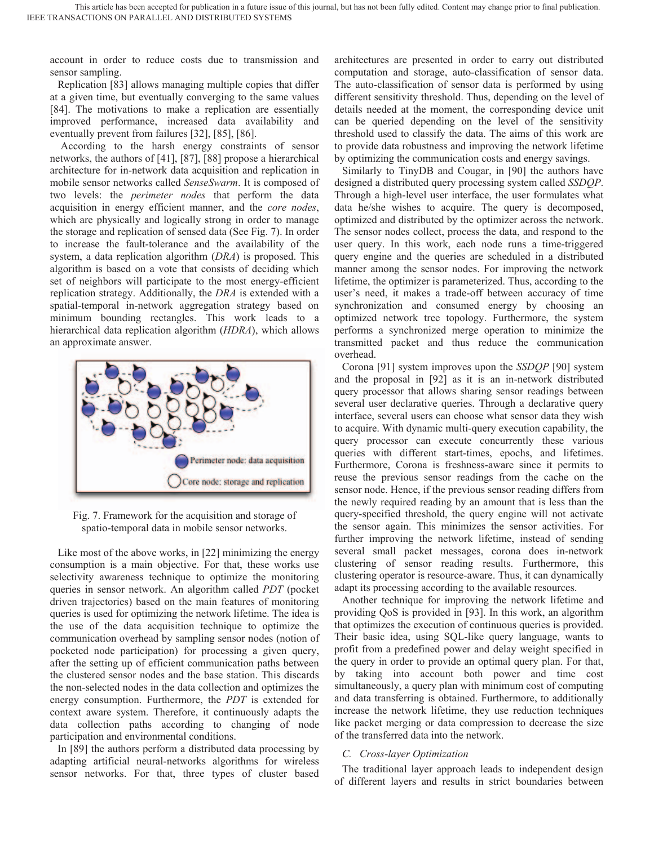account in order to reduce costs due to transmission and sensor sampling.

Replication [83] allows managing multiple copies that differ at a given time, but eventually converging to the same values [84]. The motivations to make a replication are essentially improved performance, increased data availability and e ventually prevent from failures [32], [85], [86].

mobile sensor networks called *SenseSwarm*. It is composed of tw o levels: the *perimeter nodes* that perform the data According to the harsh energy constraints of sensor networks, the authors of [41], [87], [88] propose a hierarchical architecture for in-network data acquisition and replication in acquisition in energy efficient manner, and the *core nodes*, which are physically and logically strong in order to manage the storage and replication of sensed data (See Fig. 7). In order to increase the fault-tolerance and the availability of the system, a data replication algorithm (*DRA*) is proposed. This algorithm is based on a vote that consists of deciding which set of neighbors will participate to the most energy-efficient replication strategy. Additionally, the *DRA* is extended with a spatial-temporal in-network aggregation strategy based on minimum bounding rectangles. This work leads to a hierarchical data replication algorithm (*HDRA*), which allows an approximate answer.



Fig. 7. Framework for the acquisition and storage of spatio-temporal data in mobile sensor networks.

Like most of the above works, in [22] minimizing the energy consumption is a main objective. For that, these works use selectivity awareness technique to optimize the monitoring queries in sensor network. An algorithm called *PDT* (pocket d riven trajectories) based on the main features of monitoring queries is used for optimizing the network lifetime. The idea is the use of the data acquisition technique to optimize the communication overhead by sampling sensor nodes (notion of pocketed node participation) for processing a given query, after the setting up of efficient communication paths between the clustered sensor nodes and the base station. This discards the non-selected nodes in the data collection and optimizes the energy consumption. Furthermore, the *PDT* is extended for context aware system. Therefore, it continuously adapts the data collection paths according to changing of node participation and environmental conditions.

In [89] the authors perform a distributed data processing by adapting artificial neural-networks algorithms for wireless sensor networks. For that, three types of cluster based

a rchitectures are presented in order to carry out distributed computation and storage, auto-classification of sensor data. The auto-classification of sensor data is performed by using different sensitivity threshold. Thus, depending on the level of details needed at the moment, the corresponding device unit can be queried depending on the level of the sensitivity threshold used to classify the data. The aims of this work are to provide data robustness and improving the network lifetime by optimizing the communication costs and energy savings.

Through a high-level user interface, the user formulates what d ata he/she wishes to acquire. The query is decomposed, Similarly to TinyDB and Cougar, in [90] the authors have designed a distributed query processing system called *SSDQP*. optimized and distributed by the optimizer across the network. The sensor nodes collect, process the data, and respond to the user query. In this work, each node runs a time-triggered query engine and the queries are scheduled in a distributed manner among the sensor nodes. For improving the network lifetime, the optimizer is parameterized. Thus, according to the user's need, it makes a trade-off between accuracy of time synchronization and consumed energy by choosing an optimized network tree topology. Furthermore, the system performs a synchronized merge operation to minimize the transmitted packet and thus reduce the communication overhead.

query processor that allows sharing sensor readings between s everal user declarative queries. Through a declarative query Corona [91] system improves upon the *SSDQP* [90] system and the proposal in [92] as it is an in-network distributed interface, several users can choose what sensor data they wish to acquire. With dynamic multi-query execution capability, the query processor can execute concurrently these various queries with different start-times, epochs, and lifetimes. Furthermore, Corona is freshness-aware since it permits to reuse the previous sensor readings from the cache on the sensor node. Hence, if the previous sensor reading differs from the newly required reading by an amount that is less than the query-specified threshold, the query engine will not activate the sensor again. This minimizes the sensor activities. For further improving the network lifetime, instead of sending several small packet messages, corona does in-network clustering of sensor reading results. Furthermore, this clustering operator is resource-aware. Thus, it can dynamically adapt its processing according to the available resources.

that optimizes the execution of continuous queries is provided. T heir basic idea, using SQL-like query language, wants to Another technique for improving the network lifetime and providing QoS is provided in [93]. In this work, an algorithm profit from a predefined power and delay weight specified in the query in order to provide an optimal query plan. For that, by taking into account both power and time cost simultaneously, a query plan with minimum cost of computing and data transferring is obtained. Furthermore, to additionally increase the network lifetime, they use reduction techniques like packet merging or data compression to decrease the size of the transferred data into the network.

## *C. Cross-layer Optimization*

of different layers and results in strict boundaries between The traditional layer approach leads to independent design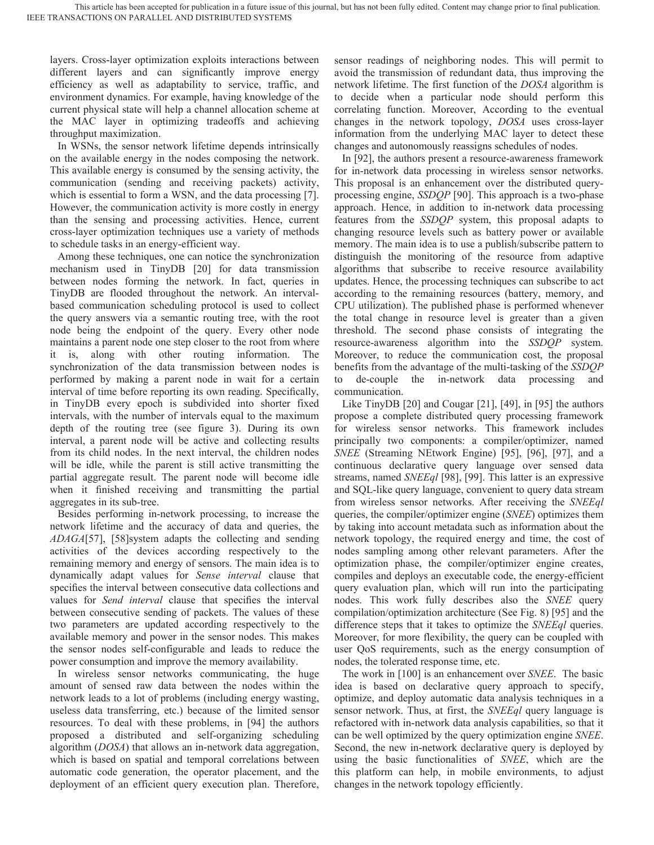layers. Cross-layer optimization exploits interactions between di fferent layers and can significantly improve energy efficiency as well as adaptability to service, traffic, and environment dynamics. For example, having knowledge of the current physical state will help a channel allocation scheme at the MAC layer in optimizing tradeoffs and achieving throughput maximization.

In WSNs, the sensor network lifetime depends intrinsically on the available energy in the nodes composing the network. This available energy is consumed by the sensing activity, the communication (sending and receiving packets) activity, which is essential to form a WSN, and the data processing [7]. However, the communication activity is more costly in energy than the sensing and processing activities. Hence, current cross-layer optimization techniques use a variety of methods to schedule tasks in an energy-efficient way.

Among these techniques, one can notice the synchronization mechanism used in TinyDB [20] for data transmission between nodes forming the network. In fact, queries in TinyDB are flooded throughout the network. An intervalbased communication scheduling protocol is used to collect the query answers via a semantic routing tree, with the root node being the endpoint of the query. Every other node maintains a parent node one step closer to the root from where it is, along with other routing information. The synchronization of the data transmission between nodes is performed by making a parent node in wait for a certain interval of time before reporting its own reading. Specifically, in TinyDB every epoch is subdivided into shorter fixed intervals, with the number of intervals equal to the maximum depth of the routing tree (see figure 3). During its own interval, a parent node will be active and collecting results from its child nodes. In the next interval, the children nodes will be idle, while the parent is still active transmitting the partial aggregate result. The parent node will become idle when it finished receiving and transmitting the partial aggregates in its sub-tree.

Besides performing in-network processing, to increase the network lifetime and the accuracy of data and queries, the *ADAGA*[57], [58]system adapts the collecting and sending activities of the devices according respectively to the remaining memory and energy of sensors. The main idea is to dynamically adapt values for *Sense interval* clause that specifies the interval between consecutive data collections and values for *Send interval* clause that specifies the interval between consecutive sending of packets. The values of these two parameters are updated according respectively to the available memory and power in the sensor nodes. This makes the sensor nodes self-configurable and leads to reduce the power consumption and improve the memory availability.

In wireless sensor networks communicating, the huge amount of sensed raw data between the nodes within the network leads to a lot of problems (including energy wasting, useless data transferring, etc.) because of the limited sensor resources. To deal with these problems, in [94] the authors proposed a distributed and self-organizing scheduling algorithm (*DOSA*) that allows an in-network data aggregation, which is based on spatial and temporal correlations between automatic code generation, the operator placement, and the deployment of an efficient query execution plan. Therefore, sensor readings of neighboring nodes. This will permit to avoid the transmission of redundant data, thus improving the network lifetime. The first function of the *DOSA* algorithm is to decide when a particular node should perform this correlating function. Moreover, According to the eventual changes in the network topology, *DOSA* uses cross-layer information from the underlying MAC layer to detect these changes and autonomously reassigns schedules of nodes.

for in-network data processing in wireless sensor networks. T his proposal is an enhancement over the distributed query-In [92], the authors present a resource-awareness framework processing engine, *SSDQP* [90]. This approach is a two-phase approach. Hence, in addition to in-network data processing features from the *SSDQP* system, this proposal adapts to changing resource levels such as battery power or available memory. The main idea is to use a publish/subscribe pattern to distinguish the monitoring of the resource from adaptive algorithms that subscribe to receive resource availability updates. Hence, the processing techniques can subscribe to act according to the remaining resources (battery, memory, and CPU utilization). The published phase is performed whenever the total change in resource level is greater than a given threshold. The second phase consists of integrating the resource-awareness algorithm into the *SSDQP* system. Moreover, to reduce the communication cost, the proposal benefits from the advantage of the multi-tasking of the *SSDQP*  to de-couple the in-network data processing and communication.

propose a complete distributed query processing framework fo r wireless sensor networks. This framework includes Like TinyDB [20] and Cougar [21], [49], in [95] the authors principally two components: a compiler/optimizer, named *SNEE* (Streaming NEtwork Engine) [95], [96], [97], and a continuous declarative query language over sensed data streams, named *SNEEql* [98], [99]. This latter is an expressive and SQL-like query language, convenient to query data stream from wireless sensor networks. After receiving the *SNEEql*  queries, the compiler/optimizer engine (*SNEE*) optimizes them by taking into account metadata such as information about the network topology, the required energy and time, the cost of nodes sampling among other relevant parameters. After the optimization phase, the compiler/optimizer engine creates, compiles and deploys an executable code, the energy-efficient query evaluation plan, which will run into the participating nodes. This work fully describes also the *SNEE* query compilation/optimization architecture (See Fig. 8) [95] and the difference steps that it takes to optimize the *SNEEql* queries. Moreover, for more flexibility, the query can be coupled with user QoS requirements, such as the energy consumption of nodes, the tolerated response time, etc.

idea is based on declarative query approach to specify, o ptimize, and deploy automatic data analysis techniques in a The work in [100] is an enhancement over *SNEE*. The basic sensor network. Thus, at first, the *SNEEql* query language is refactored with in-network data analysis capabilities, so that it can be well optimized by the query optimization engine *SNEE*. Second, the new in-network declarative query is deployed by using the basic functionalities of *SNEE*, which are the this platform can help, in mobile environments, to adjust changes in the network topology efficiently.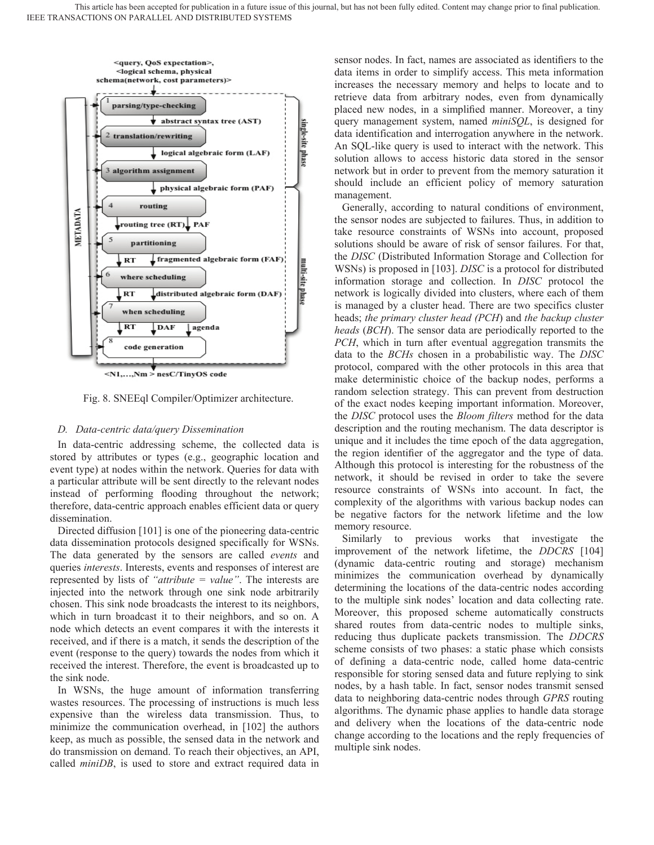

Fig. 8. SNEEql Compiler/Optimizer architecture.

#### *D. Data-centric data/query Dissemination*

In data-centric addressing scheme, the collected data is stored by attributes or types (e.g., geographic location and event type) at nodes within the network. Queries for data with a particular attribute will be sent directly to the relevant nodes in stead of performing flooding throughout the network; therefore, data-centric approach enables efficient data or query dissemination.

. Interests, events and responses of interest are queries *interests* re presented by lists of *"attribute = value"*. The interests are Directed diffusion [101] is one of the pioneering data-centric data dissemination protocols designed specifically for WSNs. The data generated by the sensors are called *events* and injected into the network through one sink node arbitrarily chosen. This sink node broadcasts the interest to its neighbors, which in turn broadcast it to their neighbors, and so on. A node which detects an event compares it with the interests it received, and if there is a match, it sends the description of the event (response to the query) towards the nodes from which it received the interest. Therefore, the event is broadcasted up to the sink node.

minimize the communication overhead, in  $[102]$  the authors k eep, as much as possible, the sensed data in the network and In WSNs, the huge amount of information transferring wastes resources. The processing of instructions is much less expensive than the wireless data transmission. Thus, to do transmission on demand. To reach their objectives, an API, called *miniDB*, is used to store and extract required data in

sensor nodes. In fact, names are associated as identifiers to the data items in order to simplify access. This meta information increases the necessary memory and helps to locate and to retrieve data from arbitrary nodes, even from dynamically placed new nodes, in a simplified manner. Moreover, a tiny query management system, named *miniSQL*, is designed for data identification and interrogation anywhere in the network. An SQL-like query is used to interact with the network. This solution allows to access historic data stored in the sensor network but in order to prevent from the memory saturation it should include an efficient policy of memory saturation management.

take resource constraints of WSNs into account, proposed s olutions should be aware of risk of sensor failures. For that, Generally, according to natural conditions of environment, the sensor nodes are subjected to failures. Thus, in addition to the *DISC* (Distributed Information Storage and Collection for WSNs) is proposed in [103]. *DISC* is a protocol for distributed information storage and collection. In *DISC* protocol the network is logically divided into clusters, where each of them is managed by a cluster head. There are two specifics cluster heads; *the primary cluster head (PCH*) and *the backup cluster heads* (*BCH*). The sensor data are periodically reported to the *PCH*, which in turn after eventual aggregation transmits the data to the *BCHs* chosen in a probabilistic way. The *DISC* protocol, compared with the other protocols in this area that make deterministic choice of the backup nodes, performs a random selection strategy. This can prevent from destruction of the exact nodes keeping important information. Moreover, the *DISC* protocol uses the *Bloom filters* method for the data description and the routing mechanism. The data descriptor is unique and it includes the time epoch of the data aggregation, the region identifier of the aggregator and the type of data. Although this protocol is interesting for the robustness of the network, it should be revised in order to take the severe resource constraints of WSNs into account. In fact, the complexity of the algorithms with various backup nodes can be negative factors for the network lifetime and the low memory resource.

(dynamic data-centric routing and storage) mechanism m inimizes the communication overhead by dynamically Similarly to previous works that investigate the improvement of the network lifetime, the *DDCRS* [104] determining the locations of the data-centric nodes according to the multiple sink nodes' location and data collecting rate. Moreover, this proposed scheme automatically constructs shared routes from data-centric nodes to multiple sinks, reducing thus duplicate packets transmission. The *DDCRS* scheme consists of two phases: a static phase which consists of defining a data-centric node, called home data-centric responsible for storing sensed data and future replying to sink nodes, by a hash table. In fact, sensor nodes transmit sensed data to neighboring data-centric nodes through *GPRS* routing algorithms. The dynamic phase applies to handle data storage and delivery when the locations of the data-centric node change according to the locations and the reply frequencies of multiple sink nodes.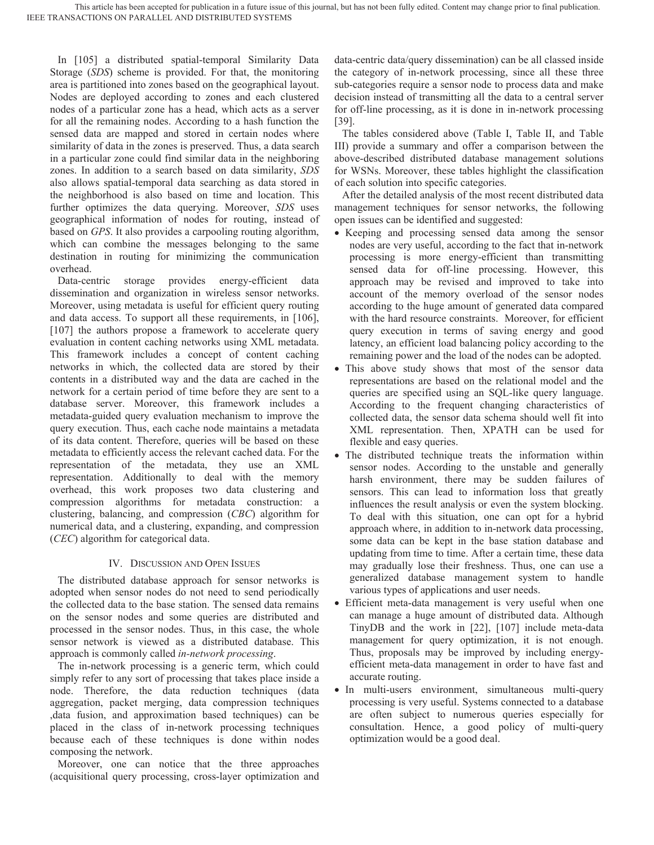In [105] a distributed spatial-temporal Similarity Data Storage (*SDS*) scheme is provided. For that, the monitoring area is partitioned into zones based on the geographical layout. Nodes are deployed according to zones and each clustered nodes of a particular zone has a head, which acts as a server for all the remaining nodes. According to a hash function the sensed data are mapped and stored in certain nodes where similarity of data in the zones is preserved. Thus, a data search in a particular zone could find similar data in the neighboring zones. In addition to a search based on data similarity, *SDS* also allows spatial-temporal data searching as data stored in the neighborhood is also based on time and location. This further optimizes the data querying. Moreover, *SDS* uses geographical information of nodes for routing, instead of based on *GPS*. It also provides a carpooling routing algorithm, which can combine the messages belonging to the same destination in routing for minimizing the communication overhead.

Data-centric storage provides energy-efficient data dissemination and organization in wireless sensor networks. Moreover, using metadata is useful for efficient query routing and data access. To support all these requirements, in [106], [107] the authors propose a framework to accelerate query evaluation in content caching networks using XML metadata. This framework includes a concept of content caching networks in which, the collected data are stored by their contents in a distributed way and the data are cached in the network for a certain period of time before they are sent to a database server. Moreover, this framework includes a metadata-guided query evaluation mechanism to improve the query execution. Thus, each cache node maintains a metadata of its data content. Therefore, queries will be based on these metadata to efficiently access the relevant cached data. For the representation of the metadata, they use an XML representation. Additionally to deal with the memory overhead, this work proposes two data clustering and compression algorithms for metadata construction: a clustering, balancing, and compression (*CBC*) algorithm for numerical data, and a clustering, expanding, and compression (*CEC*) algorithm for categorical data.

## IV. DISCUSSION AND OPEN ISSUES

The distributed database approach for sensor networks is adopted when sensor nodes do not need to send periodically the collected data to the base station. The sensed data remains on the sensor nodes and some queries are distributed and processed in the sensor nodes. Thus, in this case, the whole sensor network is viewed as a distributed database. This approach is commonly called *in-network processing*.

The in-network processing is a generic term, which could simply refer to any sort of processing that takes place inside a node. Therefore, the data reduction techniques (data aggregation, packet merging, data compression techniques ,data fusion, and approximation based techniques) can be placed in the class of in-network processing techniques because each of these techniques is done within nodes composing the network.

Moreover, one can notice that the three approaches (acquisitional query processing, cross-layer optimization and data-centric data/query dissemination) can be all classed inside the category of in-network processing, since all these three sub-categories require a sensor node to process data and make decision instead of transmitting all the data to a central server for off-line processing, as it is done in in-network processing [39].

The tables considered above (Table I, Table II, and Table III) provide a summary and offer a comparison between the above-described distributed database management solutions for WSNs. Moreover, these tables highlight the classification of each solution into specific categories.

After the detailed analysis of the most recent distributed data management techniques for sensor networks, the following open issues can be identified and suggested:

- Keeping and processing sensed data among the sensor nodes are very useful, according to the fact that in-network processing is more energy-efficient than transmitting sensed data for off-line processing. However, this approach may be revised and improved to take into account of the memory overload of the sensor nodes according to the huge amount of generated data compared with the hard resource constraints. Moreover, for efficient query execution in terms of saving energy and good latency, an efficient load balancing policy according to the remaining power and the load of the nodes can be adopted.
- This above study shows that most of the sensor data representations are based on the relational model and the queries are specified using an SQL-like query language. According to the frequent changing characteristics of collected data, the sensor data schema should well fit into XML representation. Then, XPATH can be used for flexible and easy queries.
- The distributed technique treats the information within sensor nodes. According to the unstable and generally harsh environment, there may be sudden failures of sensors. This can lead to information loss that greatly influences the result analysis or even the system blocking. To deal with this situation, one can opt for a hybrid approach where, in addition to in-network data processing, some data can be kept in the base station database and updating from time to time. After a certain time, these data may gradually lose their freshness. Thus, one can use a generalized database management system to handle various types of applications and user needs.
- Efficient meta-data management is very useful when one can manage a huge amount of distributed data. Although TinyDB and the work in [22], [107] include meta-data management for query optimization, it is not enough. Thus, proposals may be improved by including energyefficient meta-data management in order to have fast and accurate routing.
- In multi-users environment, simultaneous multi-query processing is very useful. Systems connected to a database are often subject to numerous queries especially for consultation. Hence, a good policy of multi-query optimization would be a good deal.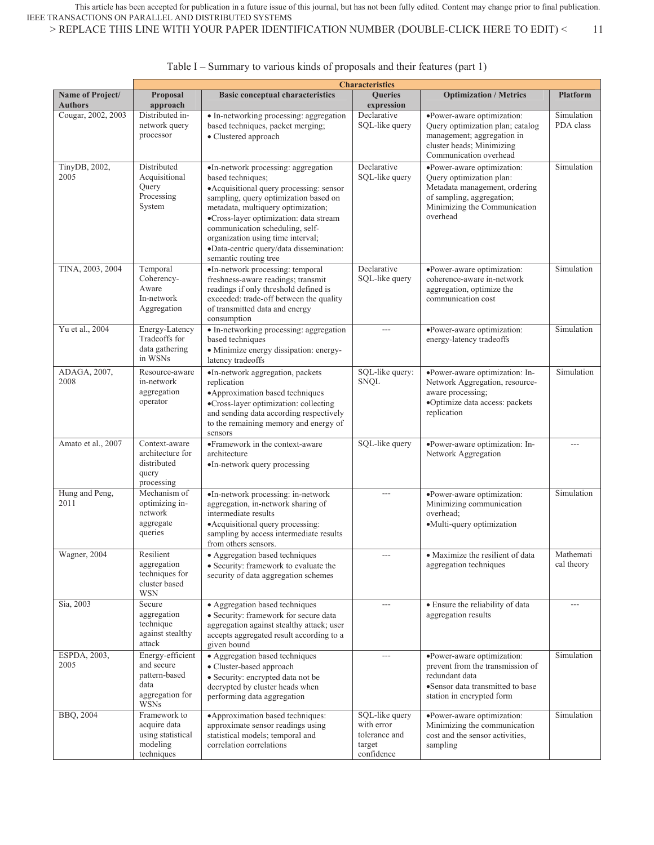> REPLACE THIS LINE WITH YOUR PAPER IDENTIFICATION NUMBER (DOUBLE-CLICK HERE TO EDIT) < 11 IEEE TRANSACTIONS ON PARALLEL AND DISTRIBUTED SYSTEMS This article has been accepted for publication in a future issue of this journal, but has not been fully edited. Content may change prior to final publication.

|                                    | <b>Characteristics</b>                                                                    |                                                                                                                                                                                                                                                                                                                                                                           |                                                                       |                                                                                                                                                                  |                         |  |
|------------------------------------|-------------------------------------------------------------------------------------------|---------------------------------------------------------------------------------------------------------------------------------------------------------------------------------------------------------------------------------------------------------------------------------------------------------------------------------------------------------------------------|-----------------------------------------------------------------------|------------------------------------------------------------------------------------------------------------------------------------------------------------------|-------------------------|--|
| Name of Project/<br><b>Authors</b> | Proposal<br>approach                                                                      | <b>Basic conceptual characteristics</b>                                                                                                                                                                                                                                                                                                                                   | <b>Oueries</b><br>expression                                          | <b>Optimization / Metrics</b>                                                                                                                                    | <b>Platform</b>         |  |
| Cougar, 2002, 2003                 | Distributed in-<br>network query<br>processor                                             | • In-networking processing: aggregation<br>based techniques, packet merging;<br>• Clustered approach                                                                                                                                                                                                                                                                      | Declarative<br>SQL-like query                                         | •Power-aware optimization:<br>Query optimization plan; catalog<br>management; aggregation in<br>cluster heads; Minimizing<br>Communication overhead              | Simulation<br>PDA class |  |
| TinyDB, 2002,<br>2005              | Distributed<br>Acquisitional<br>Query<br>Processing<br>System                             | ·In-network processing: aggregation<br>based techniques;<br>• Acquisitional query processing: sensor<br>sampling, query optimization based on<br>metadata, multiquery optimization;<br>·Cross-layer optimization: data stream<br>communication scheduling, self-<br>organization using time interval;<br>·Data-centric query/data dissemination:<br>semantic routing tree | Declarative<br>SQL-like query                                         | ·Power-aware optimization:<br>Query optimization plan:<br>Metadata management, ordering<br>of sampling, aggregation;<br>Minimizing the Communication<br>overhead | Simulation              |  |
| TINA, 2003, 2004                   | Temporal<br>Coherency-<br>Aware<br>In-network<br>Aggregation                              | ·In-network processing: temporal<br>freshness-aware readings; transmit<br>readings if only threshold defined is<br>exceeded: trade-off between the quality<br>of transmitted data and energy<br>consumption                                                                                                                                                               | Declarative<br>SQL-like query                                         | ·Power-aware optimization:<br>coherence-aware in-network<br>aggregation, optimize the<br>communication cost                                                      | Simulation              |  |
| Yu et al., 2004                    | Energy-Latency<br>Tradeoffs for<br>data gathering<br>in WSNs                              | • In-networking processing: aggregation<br>based techniques<br>· Minimize energy dissipation: energy-<br>latency tradeoffs                                                                                                                                                                                                                                                | $---$                                                                 | ·Power-aware optimization:<br>energy-latency tradeoffs                                                                                                           | Simulation              |  |
| ADAGA, 2007,<br>2008               | Resource-aware<br>in-network<br>aggregation<br>operator                                   | ·In-network aggregation, packets<br>replication<br>• Approximation based techniques<br>•Cross-layer optimization: collecting<br>and sending data according respectively<br>to the remaining memory and energy of<br>sensors                                                                                                                                               | SQL-like query:<br><b>SNQL</b>                                        | ·Power-aware optimization: In-<br>Network Aggregation, resource-<br>aware processing;<br>·Optimize data access: packets<br>replication                           | Simulation              |  |
| Amato et al., 2007                 | Context-aware<br>architecture for<br>distributed<br>query<br>processing                   | • Framework in the context-aware<br>architecture<br>•In-network query processing                                                                                                                                                                                                                                                                                          | SQL-like query                                                        | ·Power-aware optimization: In-<br>Network Aggregation                                                                                                            |                         |  |
| Hung and Peng,<br>2011             | Mechanism of<br>optimizing in-<br>network<br>aggregate<br>queries                         | •In-network processing: in-network<br>aggregation, in-network sharing of<br>intermediate results<br>• Acquisitional query processing:<br>sampling by access intermediate results<br>from others sensors.                                                                                                                                                                  | $-$                                                                   | ·Power-aware optimization:<br>Minimizing communication<br>overhead;<br>·Multi-query optimization                                                                 | Simulation              |  |
| Wagner, 2004                       | Resilient<br>aggregation<br>techniques for<br>cluster based<br><b>WSN</b>                 | • Aggregation based techniques<br>• Security: framework to evaluate the<br>security of data aggregation schemes                                                                                                                                                                                                                                                           | $---$                                                                 | • Maximize the resilient of data<br>aggregation techniques                                                                                                       | Mathemati<br>cal theory |  |
| Sia, 2003                          | Secure<br>aggregation<br>technique<br>against stealthy<br>attack                          | • Aggregation based techniques<br>• Security: framework for secure data<br>aggregation against stealthy attack; user<br>accepts aggregated result according to a<br>given bound                                                                                                                                                                                           | ---                                                                   | · Ensure the reliability of data<br>aggregation results                                                                                                          |                         |  |
| ESPDA, 2003,<br>2005               | Energy-efficient<br>and secure<br>pattern-based<br>data<br>aggregation for<br><b>WSNs</b> | · Aggregation based techniques<br>· Cluster-based approach<br>· Security: encrypted data not be<br>decrypted by cluster heads when<br>performing data aggregation                                                                                                                                                                                                         | $---$                                                                 | ·Power-aware optimization:<br>prevent from the transmission of<br>redundant data<br>•Sensor data transmitted to base<br>station in encrypted form                | Simulation              |  |
| <b>BBQ, 2004</b>                   | Framework to<br>acquire data<br>using statistical<br>modeling<br>techniques               | • Approximation based techniques:<br>approximate sensor readings using<br>statistical models; temporal and<br>correlation correlations                                                                                                                                                                                                                                    | SQL-like query<br>with error<br>tolerance and<br>target<br>confidence | ·Power-aware optimization:<br>Minimizing the communication<br>cost and the sensor activities,<br>sampling                                                        | Simulation              |  |

Table I – Summary to various kinds of proposals and their features (part 1)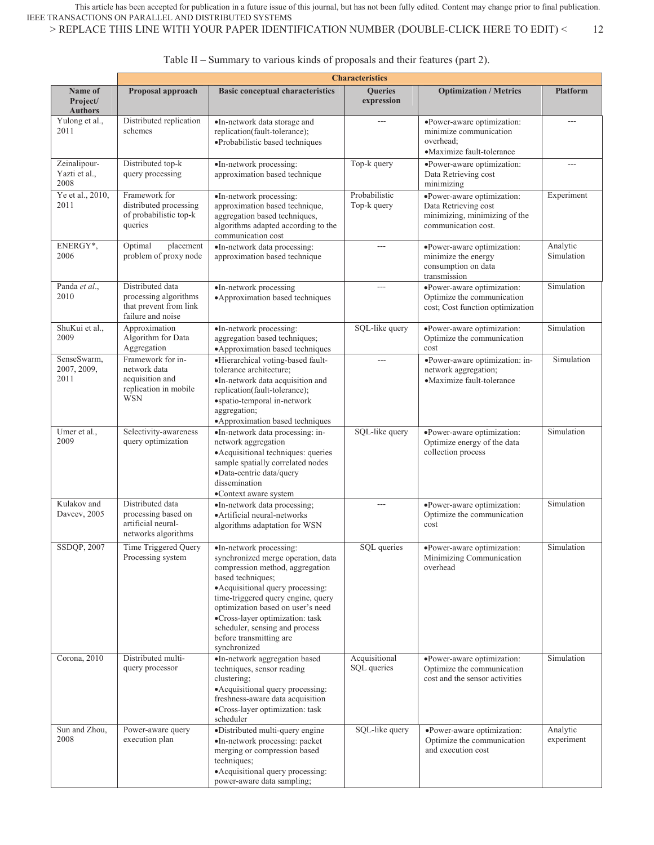|                                       | <b>Characteristics</b>                                                                      |                                                                                                                                                                                                                                                                                                                                                                |                              |                                                                                                            |                        |  |  |
|---------------------------------------|---------------------------------------------------------------------------------------------|----------------------------------------------------------------------------------------------------------------------------------------------------------------------------------------------------------------------------------------------------------------------------------------------------------------------------------------------------------------|------------------------------|------------------------------------------------------------------------------------------------------------|------------------------|--|--|
| Name of<br>Project/<br><b>Authors</b> | Proposal approach                                                                           | <b>Basic conceptual characteristics</b>                                                                                                                                                                                                                                                                                                                        | <b>Oueries</b><br>expression | <b>Optimization / Metrics</b>                                                                              | <b>Platform</b>        |  |  |
| Yulong et al.,<br>2011                | Distributed replication<br>schemes                                                          | •In-network data storage and<br>replication(fault-tolerance);<br>·Probabilistic based techniques                                                                                                                                                                                                                                                               | $---$                        | ·Power-aware optimization:<br>minimize communication<br>overhead;<br>•Maximize fault-tolerance             |                        |  |  |
| Zeinalipour-<br>Yazti et al.,<br>2008 | Distributed top-k<br>query processing                                                       | ·In-network processing:<br>approximation based technique                                                                                                                                                                                                                                                                                                       | Top-k query                  | ·Power-aware optimization:<br>Data Retrieving cost<br>minimizing                                           | $---$                  |  |  |
| Ye et al., 2010,<br>2011              | Framework for<br>distributed processing<br>of probabilistic top-k<br>queries                | $\overline{\bullet}$ In-network processing:<br>approximation based technique,<br>aggregation based techniques,<br>algorithms adapted according to the<br>communication cost                                                                                                                                                                                    | Probabilistic<br>Top-k query | ·Power-aware optimization:<br>Data Retrieving cost<br>minimizing, minimizing of the<br>communication cost. | Experiment             |  |  |
| ENERGY*,<br>2006                      | placement<br>Optimal<br>problem of proxy node                                               | •In-network data processing:<br>approximation based technique                                                                                                                                                                                                                                                                                                  | $---$                        | ·Power-aware optimization:<br>minimize the energy<br>consumption on data<br>transmission                   | Analytic<br>Simulation |  |  |
| Panda et al.,<br>2010                 | Distributed data<br>processing algorithms<br>that prevent from link<br>failure and noise    | •In-network processing<br>•Approximation based techniques                                                                                                                                                                                                                                                                                                      | $---$                        | ·Power-aware optimization:<br>Optimize the communication<br>cost; Cost function optimization               | Simulation             |  |  |
| ShuKui et al.,<br>2009                | Approximation<br>Algorithm for Data<br>Aggregation                                          | ·In-network processing:<br>aggregation based techniques;<br>•Approximation based techniques                                                                                                                                                                                                                                                                    | SQL-like query               | ·Power-aware optimization:<br>Optimize the communication<br>cost                                           | Simulation             |  |  |
| SenseSwarm,<br>2007, 2009,<br>2011    | Framework for in-<br>network data<br>acquisition and<br>replication in mobile<br><b>WSN</b> | ·Hierarchical voting-based fault-<br>tolerance architecture;<br>·In-network data acquisition and<br>replication(fault-tolerance);<br>·spatio-temporal in-network<br>aggregation;<br>• Approximation based techniques                                                                                                                                           | $---$                        | •Power-aware optimization: in-<br>network aggregation;<br>•Maximize fault-tolerance                        | Simulation             |  |  |
| Umer et al.,<br>2009                  | Selectivity-awareness<br>query optimization                                                 | ·In-network data processing: in-<br>network aggregation<br>• Acquisitional techniques: queries<br>sample spatially correlated nodes<br>·Data-centric data/query<br>dissemination<br>·Context aware system                                                                                                                                                      | SQL-like query               | ·Power-aware optimization:<br>Optimize energy of the data<br>collection process                            | Simulation             |  |  |
| Kulakov and<br>Davcev, 2005           | Distributed data<br>processing based on<br>artificial neural-<br>networks algorithms        | ·In-network data processing;<br>·Artificial neural-networks<br>algorithms adaptation for WSN                                                                                                                                                                                                                                                                   | $---$                        | ·Power-aware optimization:<br>Optimize the communication<br>cost                                           | Simulation             |  |  |
| <b>SSDQP, 2007</b>                    | Time Triggered Query<br>Processing system                                                   | $\bullet$ In-network processing:<br>synchronized merge operation, data<br>compression method, aggregation<br>based techniques;<br>• Acquisitional query processing:<br>time-triggered query engine, query<br>optimization based on user's need<br>·Cross-layer optimization: task<br>scheduler, sensing and process<br>before transmitting are<br>synchronized | SQL queries                  | •Power-aware optimization:<br>Minimizing Communication<br>overhead                                         | Simulation             |  |  |
| Corona, 2010                          | Distributed multi-<br>query processor                                                       | ·In-network aggregation based<br>techniques, sensor reading<br>clustering;<br>• Acquisitional query processing:<br>freshness-aware data acquisition<br>·Cross-layer optimization: task<br>scheduler                                                                                                                                                            | Acquisitional<br>SQL queries | ·Power-aware optimization:<br>Optimize the communication<br>cost and the sensor activities                 | Simulation             |  |  |
| Sun and Zhou,<br>2008                 | Power-aware query<br>execution plan                                                         | ·Distributed multi-query engine<br>•In-network processing: packet<br>merging or compression based<br>techniques;<br>• Acquisitional query processing:<br>power-aware data sampling;                                                                                                                                                                            | SQL-like query               | •Power-aware optimization:<br>Optimize the communication<br>and execution cost                             | Analytic<br>experiment |  |  |

Table II – Summary to various kinds of proposals and their features (part 2).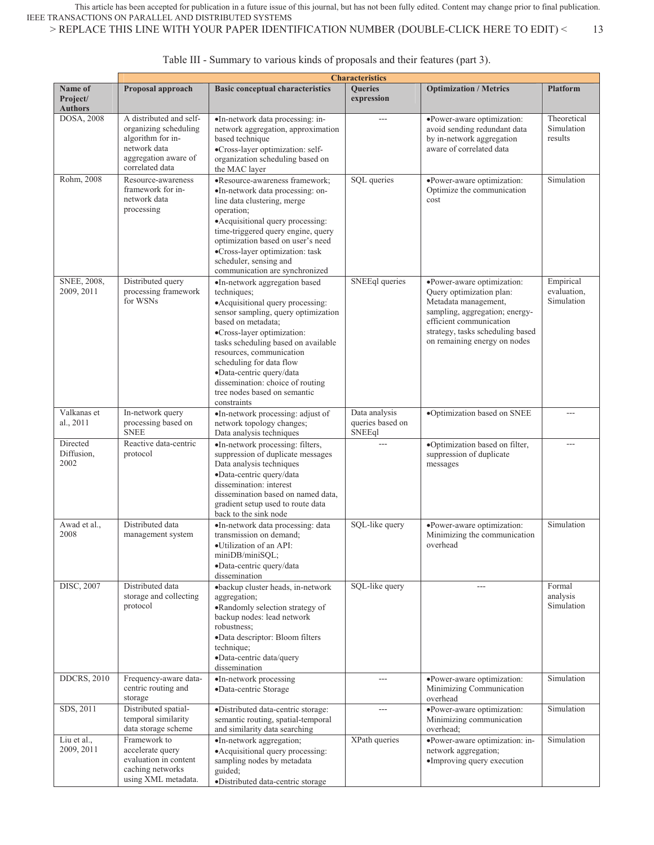|                                       | <b>Characteristics</b>                                                                                                           |                                                                                                                                                                                                                                                                                                                                                                                            |                                                     |                                                                                                                                                                                                                 |                                        |  |
|---------------------------------------|----------------------------------------------------------------------------------------------------------------------------------|--------------------------------------------------------------------------------------------------------------------------------------------------------------------------------------------------------------------------------------------------------------------------------------------------------------------------------------------------------------------------------------------|-----------------------------------------------------|-----------------------------------------------------------------------------------------------------------------------------------------------------------------------------------------------------------------|----------------------------------------|--|
| Name of<br>Project/<br><b>Authors</b> | Proposal approach                                                                                                                | <b>Basic conceptual characteristics</b>                                                                                                                                                                                                                                                                                                                                                    | <b>Oueries</b><br>expression                        | <b>Optimization / Metrics</b>                                                                                                                                                                                   | <b>Platform</b>                        |  |
| <b>DOSA</b> , 2008                    | A distributed and self-<br>organizing scheduling<br>algorithm for in-<br>network data<br>aggregation aware of<br>correlated data | ·In-network data processing: in-<br>network aggregation, approximation<br>based technique<br>·Cross-layer optimization: self-<br>organization scheduling based on<br>the MAC layer                                                                                                                                                                                                         | $- - -$                                             | ·Power-aware optimization:<br>avoid sending redundant data<br>by in-network aggregation<br>aware of correlated data                                                                                             | Theoretical<br>Simulation<br>results   |  |
| Rohm, 2008                            | Resource-awareness<br>framework for in-<br>network data<br>processing                                                            | ·Resource-awareness framework;<br>·In-network data processing: on-<br>line data clustering, merge<br>operation;<br>• Acquisitional query processing:<br>time-triggered query engine, query<br>optimization based on user's need<br>·Cross-layer optimization: task<br>scheduler, sensing and<br>communication are synchronized                                                             | SQL queries                                         | ·Power-aware optimization:<br>Optimize the communication<br>cost                                                                                                                                                | Simulation                             |  |
| SNEE, 2008,<br>2009, 2011             | Distributed query<br>processing framework<br>for WSNs                                                                            | ·In-network aggregation based<br>techniques;<br>• Acquisitional query processing:<br>sensor sampling, query optimization<br>based on metadata;<br>·Cross-layer optimization:<br>tasks scheduling based on available<br>resources, communication<br>scheduling for data flow<br>·Data-centric query/data<br>dissemination: choice of routing<br>tree nodes based on semantic<br>constraints | SNEEql queries                                      | ·Power-aware optimization:<br>Query optimization plan:<br>Metadata management,<br>sampling, aggregation; energy-<br>efficient communication<br>strategy, tasks scheduling based<br>on remaining energy on nodes | Empirical<br>evaluation,<br>Simulation |  |
| Valkanas et<br>al., 2011              | In-network query<br>processing based on<br><b>SNEE</b>                                                                           | ·In-network processing: adjust of<br>network topology changes;<br>Data analysis techniques                                                                                                                                                                                                                                                                                                 | Data analysis<br>queries based on<br><b>SNEE</b> ql | ·Optimization based on SNEE                                                                                                                                                                                     | ---                                    |  |
| Directed<br>Diffusion,<br>2002        | Reactive data-centric<br>protocol                                                                                                | •In-network processing: filters,<br>suppression of duplicate messages<br>Data analysis techniques<br>·Data-centric query/data<br>dissemination: interest<br>dissemination based on named data,<br>gradient setup used to route data<br>back to the sink node                                                                                                                               | $\overline{a}$                                      | ·Optimization based on filter,<br>suppression of duplicate<br>messages                                                                                                                                          | ---                                    |  |
| Awad et al.,<br>2008                  | Distributed data<br>management system                                                                                            | ·In-network data processing: data<br>transmission on demand;<br>•Utilization of an API:<br>miniDB/miniSQL;<br>·Data-centric query/data<br>dissemination                                                                                                                                                                                                                                    | SQL-like query                                      | ·Power-aware optimization:<br>Minimizing the communication<br>overhead                                                                                                                                          | Simulation                             |  |
| DISC, 2007                            | Distributed data<br>storage and collecting<br>protocol                                                                           | ·backup cluster heads, in-network<br>aggregation;<br>•Randomly selection strategy of<br>backup nodes: lead network<br>robustness;<br>·Data descriptor: Bloom filters<br>technique;<br>·Data-centric data/query<br>dissemination                                                                                                                                                            | SQL-like query                                      | ---                                                                                                                                                                                                             | Formal<br>analysis<br>Simulation       |  |
| <b>DDCRS</b> , 2010                   | Frequency-aware data-<br>centric routing and<br>storage                                                                          | ·In-network processing<br>•Data-centric Storage                                                                                                                                                                                                                                                                                                                                            | $\overline{a}$                                      | ·Power-aware optimization:<br>Minimizing Communication<br>overhead                                                                                                                                              | Simulation                             |  |
| SDS, 2011                             | Distributed spatial-<br>temporal similarity<br>data storage scheme                                                               | ·Distributed data-centric storage:<br>semantic routing, spatial-temporal<br>and similarity data searching                                                                                                                                                                                                                                                                                  | $\overline{a}$                                      | ·Power-aware optimization:<br>Minimizing communication<br>overhead;                                                                                                                                             | Simulation                             |  |
| Liu et al.,<br>2009, 2011             | Framework to<br>accelerate query<br>evaluation in content<br>caching networks<br>using XML metadata.                             | ·In-network aggregation;<br>• Acquisitional query processing:<br>sampling nodes by metadata<br>guided;<br>·Distributed data-centric storage                                                                                                                                                                                                                                                | XPath queries                                       | ·Power-aware optimization: in-<br>network aggregation;<br>•Improving query execution                                                                                                                            | Simulation                             |  |

Table III - Summary to various kinds of proposals and their features (part 3).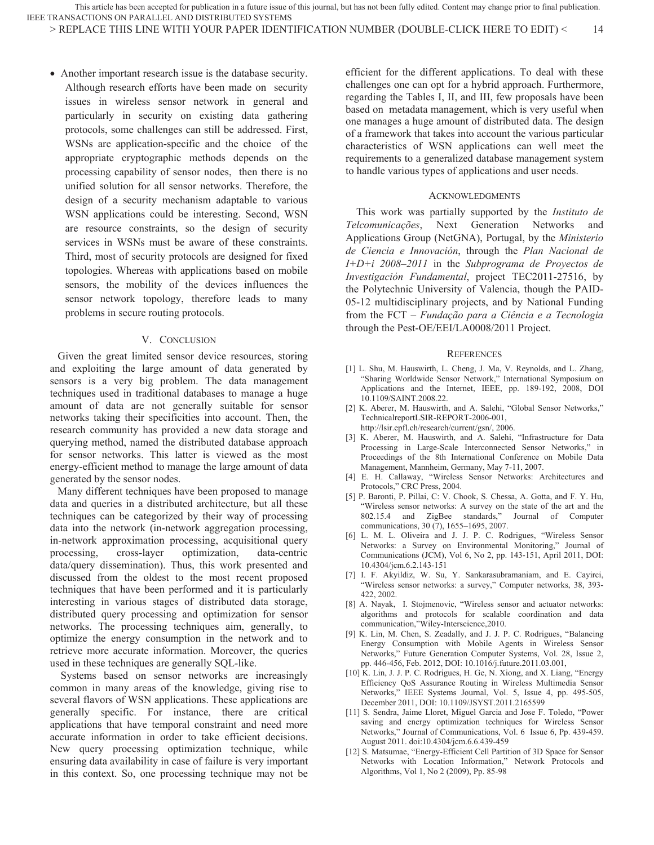> REPLACE THIS LINE WITH YOUR PAPER IDENTIFICATION NUMBER (DOUBLE-CLICK HERE TO EDIT) < 14

• Another important research issue is the database security. Although research efforts have been made on security issues in wireless sensor network in general and particularly in security on existing data gathering protocols, some challenges can still be addressed. First, WSNs are application-specific and the choice of the appropriate cryptographic methods depends on the processing capability of sensor nodes, then there is no unified solution for all sensor networks. Therefore, the design of a security mechanism adaptable to various WSN applications could be interesting. Second, WSN are resource constraints, so the design of security services in WSNs must be aware of these constraints. Third, most of security protocols are designed for fixed topologies. Whereas with applications based on mobile sensors, the mobility of the devices influences the sensor network topology, therefore leads to many problems in secure routing protocols.

## V. CONCLUSION

Given the great limited sensor device resources, storing and exploiting the large amount of data generated by sensors is a very big problem. The data management techniques used in traditional databases to manage a huge amount of data are not generally suitable for sensor networks taking their specificities into account. Then, the research community has provided a new data storage and querying method, named the distributed database approach for sensor networks. This latter is viewed as the most energy-efficient method to manage the large amount of data generated by the sensor nodes.

Many different techniques have been proposed to manage data and queries in a distributed architecture, but all these techniques can be categorized by their way of processing data into the network (in-network aggregation processing, in-network approximation processing, acquisitional query processing, cross-layer optimization, data-centric data/query dissemination). Thus, this work presented and discussed from the oldest to the most recent proposed techniques that have been performed and it is particularly interesting in various stages of distributed data storage, distributed query processing and optimization for sensor networks. The processing techniques aim, generally, to optimize the energy consumption in the network and to retrieve more accurate information. Moreover, the queries used in these techniques are generally SQL-like.

 Systems based on sensor networks are increasingly common in many areas of the knowledge, giving rise to several flavors of WSN applications. These applications are generally specific. For instance, there are critical applications that have temporal constraint and need more accurate information in order to take efficient decisions. New query processing optimization technique, while ensuring data availability in case of failure is very important in this context. So, one processing technique may not be

efficient for the different applications. To deal with these challenges one can opt for a hybrid approach. Furthermore, regarding the Tables I, II, and III, few proposals have been based on metadata management, which is very useful when one manages a huge amount of distributed data. The design of a framework that takes into account the various particular characteristics of WSN applications can well meet the requirements to a generalized database management system to handle various types of applications and user needs.

#### **ACKNOWLEDGMENTS**

This work was partially supported by the *Instituto de Telcomunicações*, Next Generation Networks and Applications Group (NetGNA), Portugal, by the *Ministerio de Ciencia e Innovación*, through the *Plan Nacional de I+D+i 2008–2011* in the *Subprograma de Proyectos de Investigación Fundamental*, project TEC2011-27516, by the Polytechnic University of Valencia, though the PAID-05-12 multidisciplinary projects, and by National Funding from the FCT – *Fundação para a Ciência e a Tecnologia*  through the Pest-OE/EEI/LA0008/2011 Project.

#### **REFERENCES**

- [1] L. Shu, M. Hauswirth, L. Cheng, J. Ma, V. Reynolds, and L. Zhang, "Sharing Worldwide Sensor Network," International Symposium on Applications and the Internet, IEEE, pp. 189-192, 2008, DOI 10.1109/SAINT.2008.22.
- [2] K. Aberer, M. Hauswirth, and A. Salehi, "Global Sensor Networks," TechnicalreportLSIR-REPORT-2006-001, http://lsir.epfl.ch/research/current/gsn/, 2006.
- [3] K. Aberer, M. Hauswirth, and A. Salehi, "Infrastructure for Data Processing in Large-Scale Interconnected Sensor Networks," in Proceedings of the 8th International Conference on Mobile Data Management, Mannheim, Germany, May 7-11, 2007.
- [4] E. H. Callaway, "Wireless Sensor Networks: Architectures and Protocols," CRC Press, 2004.
- [5] P. Baronti, P. Pillai, C: V. Chook, S. Chessa, A. Gotta, and F. Y. Hu, "Wireless sensor networks: A survey on the state of the art and the 802.15.4 and ZigBee standards," Journal of Computer communications, 30 (7), 1655–1695, 2007.
- [6] L. M. L. Oliveira and J. J. P. C. Rodrigues, "Wireless Sensor Networks: a Survey on Environmental Monitoring," Journal of Communications (JCM), Vol 6, No 2, pp. 143-151, April 2011, DOI: 10.4304/jcm.6.2.143-151
- [7] I. F. Akyildiz, W. Su, Y. Sankarasubramaniam, and E. Cayirci, "Wireless sensor networks: a survey," Computer networks, 38, 393- 422, 2002.
- [8] A. Nayak, I. Stojmenovic, "Wireless sensor and actuator networks: algorithms and protocols for scalable coordination and data communication,"Wiley-Interscience,2010.
- [9] K. Lin, M. Chen, S. Zeadally, and J. J. P. C. Rodrigues, "Balancing Energy Consumption with Mobile Agents in Wireless Sensor Networks," Future Generation Computer Systems, Vol. 28, Issue 2, pp. 446-456, Feb. 2012, DOI: 10.1016/j.future.2011.03.001,
- [10] K. Lin, J. J. P. C. Rodrigues, H. Ge, N. Xiong, and X. Liang, "Energy Efficiency QoS Assurance Routing in Wireless Multimedia Sensor Networks," IEEE Systems Journal, Vol. 5, Issue 4, pp. 495-505, December 2011, DOI: 10.1109/JSYST.2011.2165599
- [11] S. Sendra, Jaime Lloret, Miguel Garcia and Jose F. Toledo, "Power saving and energy optimization techniques for Wireless Sensor Networks," Journal of Communications, Vol. 6 Issue 6, Pp. 439-459. August 2011. doi:10.4304/jcm.6.6.439-459
- [12] S. Matsumae, "Energy-Efficient Cell Partition of 3D Space for Sensor Networks with Location Information," Network Protocols and Algorithms, Vol 1, No 2 (2009), Pp. 85-98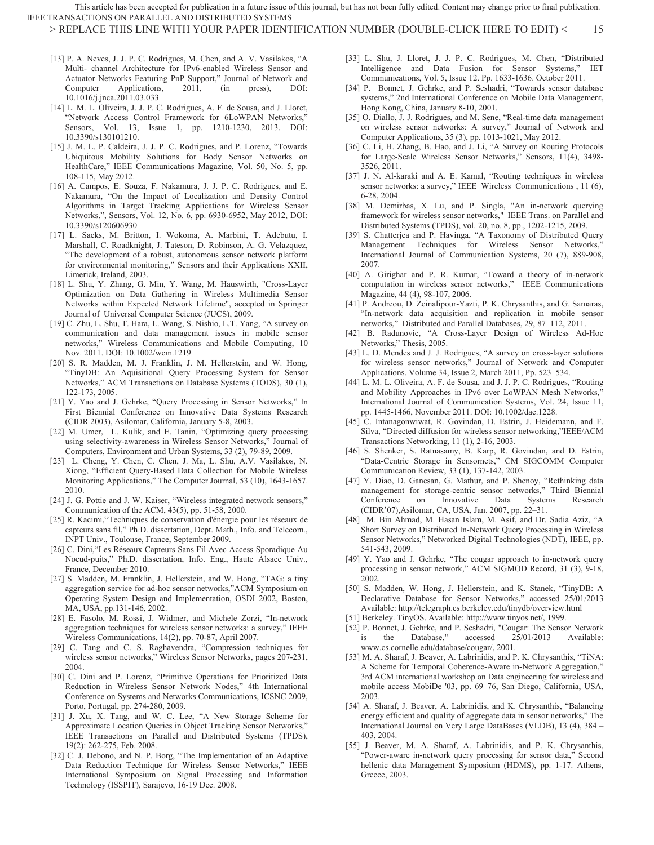#### > REPLACE THIS LINE WITH YOUR PAPER IDENTIFICATION NUMBER (DOUBLE-CLICK HERE TO EDIT) < 15

- [13] P. A. Neves, J. J. P. C. Rodrigues, M. Chen, and A. V. Vasilakos, "A Multi- channel Architecture for IPv6-enabled Wireless Sensor and Actuator Networks Featuring PnP Support," Journal of Network and Computer Applications, 2011, (in press), DOI: 10.1016/j.jnca.2011.03.033
- [14] L. M. L. Oliveira, J. J. P. C. Rodrigues, A. F. de Sousa, and J. Lloret, "Network Access Control Framework for 6LoWPAN Networks," Sensors, Vol. 13, Issue 1, pp. 1210-1230, 2013. DOI: 10.3390/s130101210.
- [15] J. M. L. P. Caldeira, J. J. P. C. Rodrigues, and P. Lorenz, "Towards Ubiquitous Mobility Solutions for Body Sensor Networks on HealthCare," IEEE Communications Magazine, Vol. 50, No. 5, pp. 108-115, May 2012.
- [16] A. Campos, E. Souza, F. Nakamura, J. J. P. C. Rodrigues, and E. Nakamura, "On the Impact of Localization and Density Control Algorithms in Target Tracking Applications for Wireless Sensor Networks,", Sensors, Vol. 12, No. 6, pp. 6930-6952, May 2012, DOI: 10.3390/s120606930
- [17] L. Sacks, M. Britton, I. Wokoma, A. Marbini, T. Adebutu, I. Marshall, C. Roadknight, J. Tateson, D. Robinson, A. G. Velazquez, "The development of a robust, autonomous sensor network platform for environmental monitoring," Sensors and their Applications XXII, Limerick, Ireland, 2003.
- [18] L. Shu, Y. Zhang, G. Min, Y. Wang, M. Hauswirth, "Cross-Layer Optimization on Data Gathering in Wireless Multimedia Sensor Networks within Expected Network Lifetime", accepted in Springer Journal of Universal Computer Science (JUCS), 2009.
- [19] C. Zhu, L. Shu, T. Hara, L. Wang, S. Nishio, L.T. Yang, "A survey on communication and data management issues in mobile sensor networks," Wireless Communications and Mobile Computing, 10 Nov. 2011. DOI: 10.1002/wcm.1219
- [20] S. R. Madden, M. J. Franklin, J. M. Hellerstein, and W. Hong, "TinyDB: An Aquisitional Query Processing System for Sensor Networks," ACM Transactions on Database Systems (TODS), 30 (1), 122-173, 2005.
- [21] Y. Yao and J. Gehrke, "Query Processing in Sensor Networks," In First Biennial Conference on Innovative Data Systems Research (CIDR 2003), Asilomar, California, January 5-8, 2003.
- [22] M. Umer, L. Kulik, and E. Tanin, "Optimizing query processing using selectivity-awareness in Wireless Sensor Networks," Journal of Computers, Environment and Urban Systems, 33 (2), 79-89, 2009.
- [23] L. Cheng, Y. Chen, C. Chen, J. Ma, L. Shu, A.V. Vasilakos, N. Xiong, "Efficient Query-Based Data Collection for Mobile Wireless Monitoring Applications," The Computer Journal, 53 (10), 1643-1657. 2010.
- [24] J. G. Pottie and J. W. Kaiser, "Wireless integrated network sensors," Communication of the ACM, 43(5), pp. 51-58, 2000.
- [25] R. Kacimi,"Techniques de conservation d'énergie pour les réseaux de capteurs sans fil," Ph.D. dissertation, Dept. Math., Info. and Telecom., INPT Univ., Toulouse, France, September 2009.
- [26] C. Dini,"Les Réseaux Capteurs Sans Fil Avec Access Sporadique Au Noeud-puits," Ph.D. dissertation, Info. Eng., Haute Alsace Univ., France, December 2010.
- [27] S. Madden, M. Franklin, J. Hellerstein, and W. Hong, "TAG: a tiny aggregation service for ad-hoc sensor networks,"ACM Symposium on Operating System Design and Implementation, OSDI 2002, Boston, MA, USA, pp.131-146, 2002.
- [28] E. Fasolo, M. Rossi, J. Widmer, and Michele Zorzi, "In-network aggregation techniques for wireless sensor networks: a survey," IEEE Wireless Communications, 14(2), pp. 70-87, April 2007.
- [29] C. Tang and C. S. Raghavendra, "Compression techniques for wireless sensor networks," Wireless Sensor Networks, pages 207-231, 2004.
- [30] C. Dini and P. Lorenz, "Primitive Operations for Prioritized Data Reduction in Wireless Sensor Network Nodes," 4th International Conference on Systems and Networks Communications, ICSNC 2009, Porto, Portugal, pp. 274-280, 2009.
- [31] J. Xu, X. Tang, and W. C. Lee, "A New Storage Scheme for Approximate Location Queries in Object Tracking Sensor Networks," IEEE Transactions on Parallel and Distributed Systems (TPDS), 19(2): 262-275, Feb. 2008.
- [32] C. J. Debono, and N. P. Borg, "The Implementation of an Adaptive Data Reduction Technique for Wireless Sensor Networks," IEEE International Symposium on Signal Processing and Information Technology (ISSPIT), Sarajevo, 16-19 Dec. 2008.
- [33] L. Shu, J. Lloret, J. J. P. C. Rodrigues, M. Chen, "Distributed Intelligence and Data Fusion for Sensor Systems," IET Communications, Vol. 5, Issue 12. Pp. 1633-1636. October 2011.
- [34] P. Bonnet, J. Gehrke, and P. Seshadri, "Towards sensor database systems," 2nd International Conference on Mobile Data Management, Hong Kong, China, January 8-10, 2001.
- [35] O. Diallo, J. J. Rodrigues, and M. Sene, "Real-time data management on wireless sensor networks: A survey," Journal of Network and Computer Applications, 35 (3), pp. 1013-1021, May 2012.
- [36] C. Li, H. Zhang, B. Hao, and J. Li, "A Survey on Routing Protocols for Large-Scale Wireless Sensor Networks," Sensors, 11(4), 3498- 3526, 2011.
- [37] J. N. Al-karaki and A. E. Kamal, "Routing techniques in wireless sensor networks: a survey," IEEE Wireless Communications , 11 (6), 6-28, 2004.
- [38] M. Demirbas, X. Lu, and P. Singla, "An in-network querying framework for wireless sensor networks," IEEE Trans. on Parallel and Distributed Systems (TPDS), vol. 20, no. 8, pp., 1202-1215, 2009.
- [39] S. Chatterjea and P. Havinga, "A Taxonomy of Distributed Query Management Techniques for Wireless Sensor Networks, International Journal of Communication Systems, 20 (7), 889-908, 2007.
- [40] A. Girighar and P. R. Kumar, "Toward a theory of in-network computation in wireless sensor networks," IEEE Communications Magazine, 44 (4), 98-107, 2006.
- [41] P. Andreou, D. Zeinalipour-Yazti, P. K. Chrysanthis, and G. Samaras, "In-network data acquisition and replication in mobile sensor networks," Distributed and Parallel Databases, 29, 87–112, 2011.
- [42] B. Radunovic, "A Cross-Layer Design of Wireless Ad-Hoc Networks," Thesis, 2005.
- [43] L. D. Mendes and J. J. Rodrigues, "A survey on cross-layer solutions for wireless sensor networks," Journal of Network and Computer Applications. Volume 34, Issue 2, March 2011, Pp. 523–534.
- [44] L. M. L. Oliveira, A. F. de Sousa, and J. J. P. C. Rodrigues, "Routing and Mobility Approaches in IPv6 over LoWPAN Mesh Networks, International Journal of Communication Systems, Vol. 24, Issue 11, pp. 1445-1466, November 2011. DOI: 10.1002/dac.1228.
- [45] C. Intanagonwiwat, R. Govindan, D. Estrin, J. Heidemann, and F. Silva, "Directed diffusion for wireless sensor networking,"IEEE/ACM Transactions Networking, 11 (1), 2-16, 2003.
- [46] S. Shenker, S. Ratnasamy, B. Karp, R. Govindan, and D. Estrin, "Data-Centric Storage in Sensornets," CM SIGCOMM Computer Communication Review, 33 (1), 137-142, 2003.
- [47] Y. Diao, D. Ganesan, G. Mathur, and P. Shenoy, "Rethinking data management for storage-centric sensor networks," Third Biennial Conference on Innovative Data Systems Research (CIDR'07),Asilomar, CA, USA, Jan. 2007, pp. 22–31.
- [48] M. Bin Ahmad, M. Hasan Islam, M. Asif, and Dr. Sadia Aziz, "A Short Survey on Distributed In-Network Query Processing in Wireless Sensor Networks," Networked Digital Technologies (NDT), IEEE, pp. 541-543, 2009.
- [49] Y. Yao and J. Gehrke, "The cougar approach to in-network query processing in sensor network," ACM SIGMOD Record, 31 (3), 9-18, 2002.
- [50] S. Madden, W. Hong, J. Hellerstein, and K. Stanek, "TinyDB: A Declarative Database for Sensor Networks," accessed 25/01/2013 Available: http://telegraph.cs.berkeley.edu/tinydb/overview.html
- [51] Berkeley. TinyOS. Available: http://www.tinyos.net/, 1999.
- [52] P. Bonnet, J. Gehrke, and P. Seshadri, "Cougar: The Sensor Network is the Database," accessed 25/01/2013 Available: www.cs.cornelle.edu/database/cougar/, 2001.
- [53] M. A. Sharaf, J. Beaver, A. Labrinidis, and P. K. Chrysanthis, "TiNA: A Scheme for Temporal Coherence-Aware in-Network Aggregation," 3rd ACM international workshop on Data engineering for wireless and mobile access MobiDe '03, pp. 69–76, San Diego, California, USA, 2003.
- [54] A. Sharaf, J. Beaver, A. Labrinidis, and K. Chrysanthis, "Balancing energy efficient and quality of aggregate data in sensor networks," The International Journal on Very Large DataBases (VLDB), 13 (4), 384 – 403, 2004.
- [55] J. Beaver, M. A. Sharaf, A. Labrinidis, and P. K. Chrysanthis, "Power-aware in-network query processing for sensor data," Second hellenic data Management Symposium (HDMS), pp. 1-17. Athens, Greece, 2003.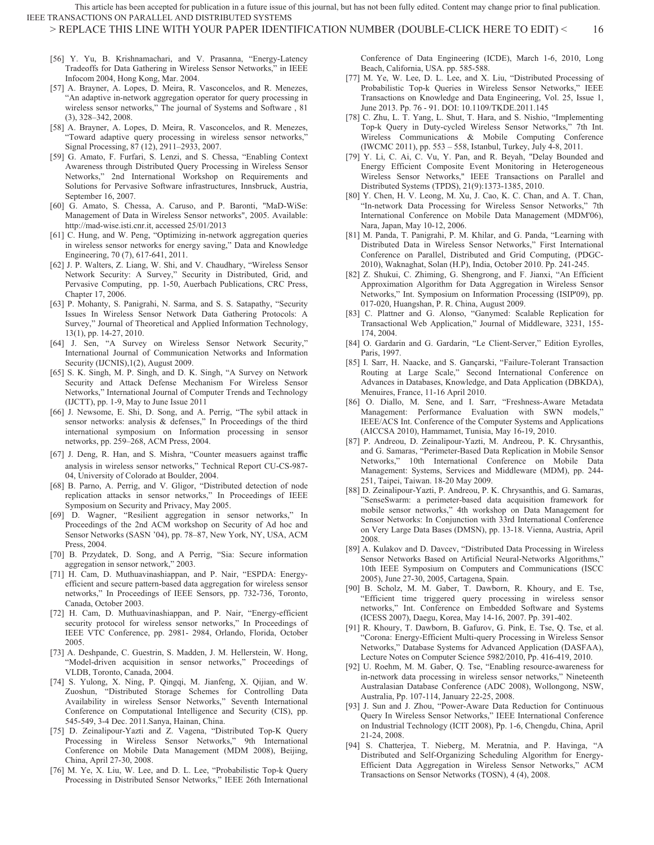> REPLACE THIS LINE WITH YOUR PAPER IDENTIFICATION NUMBER (DOUBLE-CLICK HERE TO EDIT) < 16

- [56] Y. Yu, B. Krishnamachari, and V. Prasanna, "Energy-Latency Tradeoffs for Data Gathering in Wireless Sensor Networks," in IEEE Infocom 2004, Hong Kong, Mar. 2004.
- [57] A. Brayner, A. Lopes, D. Meira, R. Vasconcelos, and R. Menezes, "An adaptive in-network aggregation operator for query processing in wireless sensor networks," The journal of Systems and Software , 81 (3), 328–342, 2008.
- [58] A. Brayner, A. Lopes, D. Meira, R. Vasconcelos, and R. Menezes, "Toward adaptive query processing in wireless sensor networks," Signal Processing, 87 (12), 2911–2933, 2007.
- [59] G. Amato, F. Furfari, S. Lenzi, and S. Chessa, "Enabling Context Awareness through Distributed Query Processing in Wireless Sensor Networks," 2nd International Workshop on Requirements and Solutions for Pervasive Software infrastructures, Innsbruck, Austria, September 16, 2007.
- [60] G. Amato, S. Chessa, A. Caruso, and P. Baronti, "MaD-WiSe: Management of Data in Wireless Sensor networks", 2005. Available: http://mad-wise.isti.cnr.it, accessed 25/01/2013
- [61] C. Hung, and W. Peng, "Optimizing in-network aggregation queries in wireless sensor networks for energy saving," Data and Knowledge Engineering, 70 (7), 617-641, 2011.
- [62] J. P. Walters, Z. Liang, W. Shi, and V. Chaudhary, "Wireless Sensor Network Security: A Survey," Security in Distributed, Grid, and Pervasive Computing, pp. 1-50, Auerbach Publications, CRC Press, Chapter 17, 2006.
- [63] P. Mohanty, S. Panigrahi, N. Sarma, and S. S. Satapathy, "Security Issues In Wireless Sensor Network Data Gathering Protocols: A Survey," Journal of Theoretical and Applied Information Technology, 13(1), pp. 14-27, 2010.
- [64] J. Sen, "A Survey on Wireless Sensor Network Security," International Journal of Communication Networks and Information Security (IJCNIS),1(2), August 2009.
- [65] S. K. Singh, M. P. Singh, and D. K. Singh, "A Survey on Network Security and Attack Defense Mechanism For Wireless Sensor Networks," International Journal of Computer Trends and Technology (IJCTT), pp. 1-9, May to June Issue 2011
- [66] J. Newsome, E. Shi, D. Song, and A. Perrig, "The sybil attack in sensor networks: analysis & defenses," In Proceedings of the third international symposium on Information processing in sensor networks, pp. 259–268, ACM Press, 2004.
- [67] J. Deng, R. Han, and S. Mishra, "Counter measuers against traffic analysis in wireless sensor networks," Technical Report CU-CS-987- 04, University of Colorado at Boulder, 2004.
- [68] B. Parno, A. Perrig, and V. Gligor, "Distributed detection of node replication attacks in sensor networks," In Proceedings of IEEE Symposium on Security and Privacy, May 2005.
- [69] D. Wagner, "Resilient aggregation in sensor networks," In Proceedings of the 2nd ACM workshop on Security of Ad hoc and Sensor Networks (SASN '04), pp. 78–87, New York, NY, USA, ACM Press, 2004.
- [70] B. Przydatek, D. Song, and A Perrig, "Sia: Secure information aggregation in sensor network," 2003.
- [71] H. Cam, D. Muthuavinashiappan, and P. Nair, "ESPDA: Energyefficient and secure pattern-based data aggregation for wireless sensor networks," In Proceedings of IEEE Sensors, pp. 732-736, Toronto, Canada, October 2003.
- [72] H. Cam, D. Muthuavinashiappan, and P. Nair, "Energy-efficient security protocol for wireless sensor networks," In Proceedings of IEEE VTC Conference, pp. 2981- 2984, Orlando, Florida, October 2005.
- [73] A. Deshpande, C. Guestrin, S. Madden, J. M. Hellerstein, W. Hong, "Model-driven acquisition in sensor networks," Proceedings of VLDB, Toronto, Canada, 2004.
- [74] S. Yulong, X. Ning, P. Qingqi, M. Jianfeng, X. Qijian, and W. Zuoshun, "Distributed Storage Schemes for Controlling Data Availability in wireless Sensor Networks," Seventh International Conference on Computational Intelligence and Security (CIS), pp. 545-549, 3-4 Dec. 2011.Sanya, Hainan, China.
- [75] D. Zeinalipour-Yazti and Z. Vagena, "Distributed Top-K Query Processing in Wireless Sensor Networks," 9th International Conference on Mobile Data Management (MDM 2008), Beijing, China, April 27-30, 2008.
- [76] M. Ye, X. Liu, W. Lee, and D. L. Lee, "Probabilistic Top-k Query Processing in Distributed Sensor Networks," IEEE 26th International

Conference of Data Engineering (ICDE), March 1-6, 2010, Long Beach, California, USA. pp. 585-588.

- [77] M. Ye, W. Lee, D. L. Lee, and X. Liu, "Distributed Processing of Probabilistic Top-k Queries in Wireless Sensor Networks," IEEE Transactions on Knowledge and Data Engineering, Vol. 25, Issue 1, June 2013. Pp. 76 - 91. DOI: 10.1109/TKDE.2011.145
- [78] C. Zhu, L. T. Yang, L. Shut, T. Hara, and S. Nishio, "Implementing Top-k Query in Duty-cycled Wireless Sensor Networks," 7th Int. Wireless Communications & Mobile Computing Conference (IWCMC 2011), pp. 553 – 558, Istanbul, Turkey, July 4-8, 2011.
- [79] Y. Li, C. Ai, C. Vu, Y. Pan, and R. Beyah, "Delay Bounded and Energy Efficient Composite Event Monitoring in Heterogeneous Wireless Sensor Networks," IEEE Transactions on Parallel and Distributed Systems (TPDS), 21(9):1373-1385, 2010.
- [80] Y. Chen, H. V. Leong, M. Xu, J. Cao, K. C. Chan, and A. T. Chan, "In-network Data Processing for Wireless Sensor Networks," 7th International Conference on Mobile Data Management (MDM'06), Nara, Japan, May 10-12, 2006.
- [81] M. Panda, T. Panigrahi, P. M. Khilar, and G. Panda, "Learning with Distributed Data in Wireless Sensor Networks," First International Conference on Parallel, Distributed and Grid Computing, (PDGC-2010), Waknaghat, Solan (H.P), India, October 2010. Pp. 241-245.
- [82] Z. Shukui, C. Zhiming, G. Shengrong, and F. Jianxi, "An Efficient Approximation Algorithm for Data Aggregation in Wireless Sensor Networks," Int. Symposium on Information Processing (ISIP'09), pp. 017-020, Huangshan, P. R. China, August 2009.
- [83] C. Plattner and G. Alonso, "Ganymed: Scalable Replication for Transactional Web Application," Journal of Middleware, 3231, 155- 174, 2004.
- [84] O. Gardarin and G. Gardarin, "Le Client-Server," Edition Eyrolles, Paris, 1997.
- [85] I. Sarr, H. Naacke, and S. Gançarski, "Failure-Tolerant Transaction Routing at Large Scale," Second International Conference on Advances in Databases, Knowledge, and Data Application (DBKDA), Menuires, France, 11-16 April 2010.
- [86] O. Diallo, M. Sene, and I. Sarr, "Freshness-Aware Metadata Management: Performance Evaluation with SWN models," IEEE/ACS Int. Conference of the Computer Systems and Applications (AICCSA 2010), Hammamet, Tunisia, May 16-19, 2010.
- [87] P. Andreou, D. Zeinalipour-Yazti, M. Andreou, P. K. Chrysanthis, and G. Samaras, "Perimeter-Based Data Replication in Mobile Sensor Networks," 10th International Conference on Mobile Data Management: Systems, Services and Middleware (MDM), pp. 244- 251, Taipei, Taiwan. 18-20 May 2009.
- [88] D. Zeinalipour-Yazti, P. Andreou, P. K. Chrysanthis, and G. Samaras, "SenseSwarm: a perimeter-based data acquisition framework for mobile sensor networks," 4th workshop on Data Management for Sensor Networks: In Conjunction with 33rd International Conference on Very Large Data Bases (DMSN), pp. 13-18. Vienna, Austria, April 2008.
- [89] A. Kulakov and D. Davcev, "Distributed Data Processing in Wireless Sensor Networks Based on Artificial Neural-Networks Algorithms," 10th IEEE Symposium on Computers and Communications (ISCC 2005), June 27-30, 2005, Cartagena, Spain.
- [90] B. Scholz, M. M. Gaber, T. Dawborn, R. Khoury, and E. Tse, "Efficient time triggered query processing in wireless sensor networks," Int. Conference on Embedded Software and Systems (ICESS 2007), Daegu, Korea, May 14-16, 2007. Pp. 391-402.
- [91] R. Khoury, T. Dawborn, B. Gafurov, G. Pink, E. Tse, Q. Tse, et al. "Corona: Energy-Efficient Multi-query Processing in Wireless Sensor Networks," Database Systems for Advanced Application (DASFAA), Lecture Notes on Computer Science 5982/2010, Pp. 416-419, 2010.
- [92] U. Roehm, M. M. Gaber, Q. Tse, "Enabling resource-awareness for in-network data processing in wireless sensor networks," Nineteenth Australasian Database Conference (ADC 2008), Wollongong, NSW, Australia, Pp. 107-114, January 22-25, 2008.
- [93] J. Sun and J. Zhou, "Power-Aware Data Reduction for Continuous Query In Wireless Sensor Networks," IEEE International Conference on Industrial Technology (ICIT 2008), Pp. 1-6, Chengdu, China, April 21-24, 2008.
- [94] S. Chatterjea, T. Nieberg, M. Meratnia, and P. Havinga, "A Distributed and Self-Organizing Scheduling Algorithm for Energy-Efficient Data Aggregation in Wireless Sensor Networks," ACM Transactions on Sensor Networks (TOSN), 4 (4), 2008.